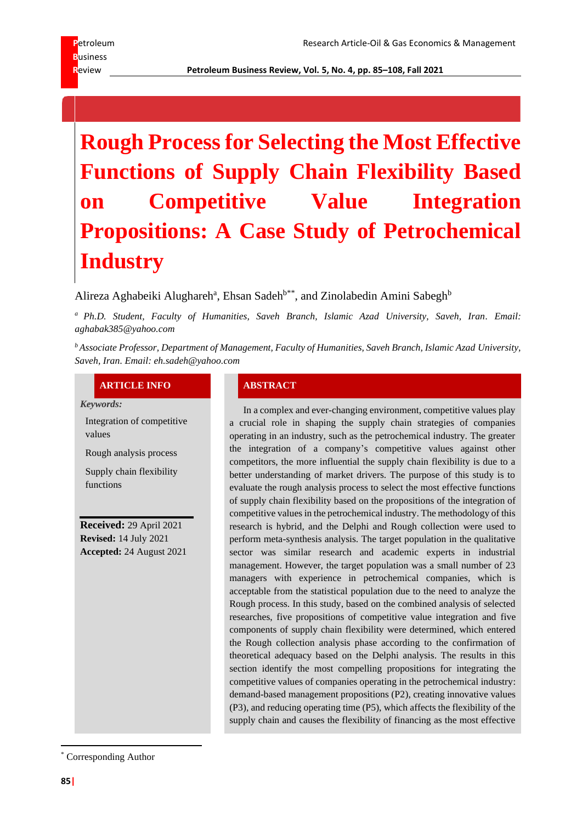# **Rough Process for Selecting the Most Effective Functions of Supply Chain Flexibility Based on Competitive Value Integration Propositions: A Case Study of Petrochemical Industry**

Alireza Aghabeiki Alughareh<sup>a</sup>, Ehsan Sadeh<sup>b\*\*</sup>, and Zinolabedin Amini Sabegh<sup>b</sup>

*<sup>a</sup> Ph.D. Student, Faculty of Humanities, Saveh Branch, Islamic Azad University, Saveh, Iran. Email: aghabak385@yahoo.com*

*<sup>b</sup>Associate Professor, Department of Management, Faculty of Humanities, Saveh Branch, Islamic Azad University, Saveh, Iran. Email: eh.sadeh@yahoo.com*

# **ARTICLE INFO ABSTRACT**

*Keywords:*

Integration of competitive values

Rough analysis process

Supply chain flexibility functions

**Received:** 29 April 2021 **Revised:** 14 July 2021 **Accepted:** 24 August 2021

In a complex and ever-changing environment, competitive values play a crucial role in shaping the supply chain strategies of companies operating in an industry, such as the petrochemical industry. The greater the integration of a company's competitive values against other competitors, the more influential the supply chain flexibility is due to a better understanding of market drivers. The purpose of this study is to evaluate the rough analysis process to select the most effective functions of supply chain flexibility based on the propositions of the integration of competitive values in the petrochemical industry. The methodology of this research is hybrid, and the Delphi and Rough collection were used to perform meta-synthesis analysis. The target population in the qualitative sector was similar research and academic experts in industrial management. However, the target population was a small number of 23 managers with experience in petrochemical companies, which is acceptable from the statistical population due to the need to analyze the Rough process. In this study, based on the combined analysis of selected researches, five propositions of competitive value integration and five components of supply chain flexibility were determined, which entered the Rough collection analysis phase according to the confirmation of theoretical adequacy based on the Delphi analysis. The results in this section identify the most compelling propositions for integrating the competitive values of companies operating in the petrochemical industry: demand-based management propositions (P2), creating innovative values (P3), and reducing operating time (P5), which affects the flexibility of the supply chain and causes the flexibility of financing as the most effective

Corresponding Author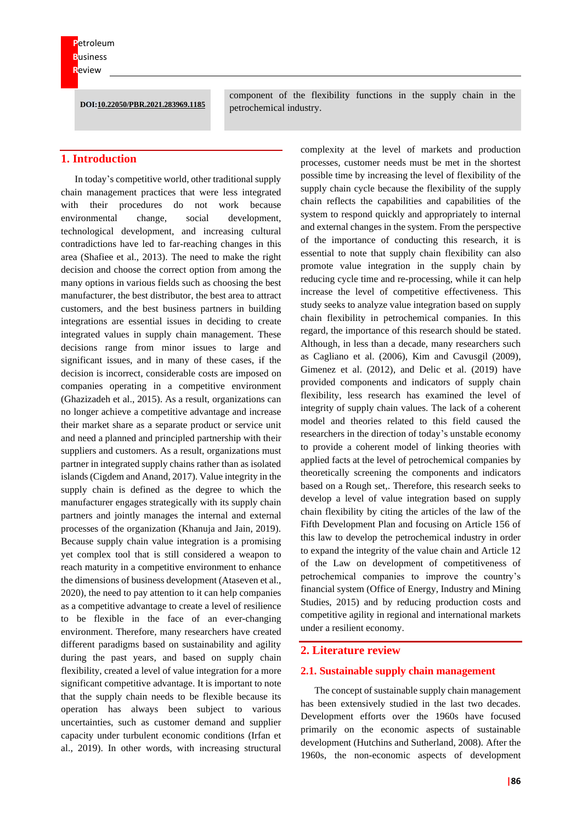**DOI:10.22050/PBR.2021.283969.1185**

component of the flexibility functions in the supply chain in the petrochemical industry.

# **1. Introduction**

In today's competitive world, other traditional supply chain management practices that were less integrated with their procedures do not work because environmental change, social development, technological development, and increasing cultural contradictions have led to far-reaching changes in this area (Shafiee et al., 2013). The need to make the right decision and choose the correct option from among the many options in various fields such as choosing the best manufacturer, the best distributor, the best area to attract customers, and the best business partners in building integrations are essential issues in deciding to create integrated values in supply chain management. These decisions range from minor issues to large and significant issues, and in many of these cases, if the decision is incorrect, considerable costs are imposed on companies operating in a competitive environment (Ghazizadeh et al., 2015). As a result, organizations can no longer achieve a competitive advantage and increase their market share as a separate product or service unit and need a planned and principled partnership with their suppliers and customers. As a result, organizations must partner in integrated supply chains rather than as isolated islands (Cigdem and Anand, 2017). Value integrity in the supply chain is defined as the degree to which the manufacturer engages strategically with its supply chain partners and jointly manages the internal and external processes of the organization (Khanuja and Jain, 2019). Because supply chain value integration is a promising yet complex tool that is still considered a weapon to reach maturity in a competitive environment to enhance the dimensions of business development (Ataseven et al., 2020), the need to pay attention to it can help companies as a competitive advantage to create a level of resilience to be flexible in the face of an ever-changing environment. Therefore, many researchers have created different paradigms based on sustainability and agility during the past years, and based on supply chain flexibility, created a level of value integration for a more significant competitive advantage. It is important to note that the supply chain needs to be flexible because its operation has always been subject to various uncertainties, such as customer demand and supplier capacity under turbulent economic conditions (Irfan et al., 2019). In other words, with increasing structural

complexity at the level of markets and production processes, customer needs must be met in the shortest possible time by increasing the level of flexibility of the supply chain cycle because the flexibility of the supply chain reflects the capabilities and capabilities of the system to respond quickly and appropriately to internal and external changes in the system. From the perspective of the importance of conducting this research, it is essential to note that supply chain flexibility can also promote value integration in the supply chain by reducing cycle time and re-processing, while it can help increase the level of competitive effectiveness. This study seeks to analyze value integration based on supply chain flexibility in petrochemical companies. In this regard, the importance of this research should be stated. Although, in less than a decade, many researchers such as Cagliano et al. (2006), Kim and Cavusgil (2009), Gimenez et al. (2012), and Delic et al. (2019) have provided components and indicators of supply chain flexibility, less research has examined the level of integrity of supply chain values. The lack of a coherent model and theories related to this field caused the researchers in the direction of today's unstable economy to provide a coherent model of linking theories with applied facts at the level of petrochemical companies by theoretically screening the components and indicators based on a Rough set,. Therefore, this research seeks to develop a level of value integration based on supply chain flexibility by citing the articles of the law of the Fifth Development Plan and focusing on Article 156 of this law to develop the petrochemical industry in order to expand the integrity of the value chain and Article 12 of the Law on development of competitiveness of petrochemical companies to improve the country's financial system (Office of Energy, Industry and Mining Studies, 2015) and by reducing production costs and competitive agility in regional and international markets under a resilient economy.

#### **2. Literature review**

#### **2.1. Sustainable supply chain management**

The concept of sustainable supply chain management has been extensively studied in the last two decades. Development efforts over the 1960s have focused primarily on the economic aspects of sustainable development (Hutchins and Sutherland, 2008). After the 1960s, the non-economic aspects of development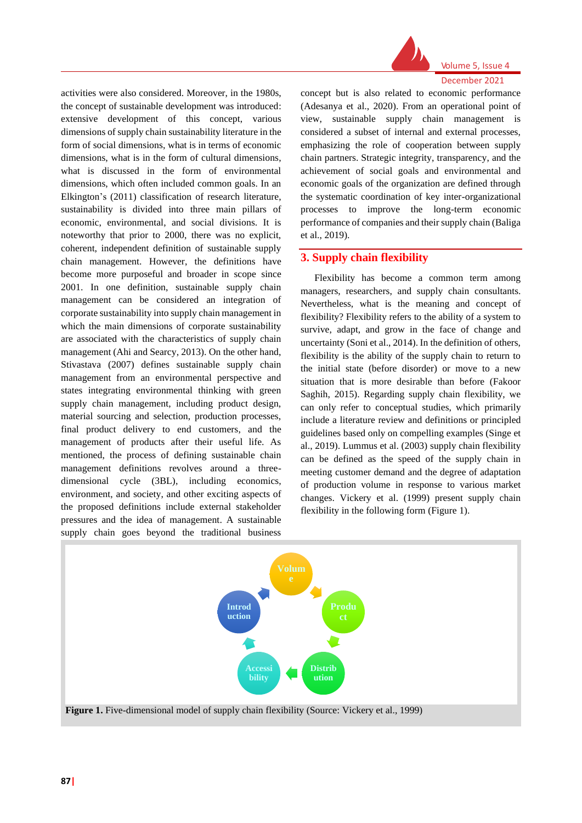

activities were also considered. Moreover, in the 1980s, the concept of sustainable development was introduced: extensive development of this concept, various dimensions of supply chain sustainability literature in the form of social dimensions, what is in terms of economic dimensions, what is in the form of cultural dimensions, what is discussed in the form of environmental dimensions, which often included common goals. In an Elkington's (2011) classification of research literature, sustainability is divided into three main pillars of economic, environmental, and social divisions. It is noteworthy that prior to 2000, there was no explicit, coherent, independent definition of sustainable supply chain management. However, the definitions have become more purposeful and broader in scope since 2001. In one definition, sustainable supply chain management can be considered an integration of corporate sustainability into supply chain management in which the main dimensions of corporate sustainability are associated with the characteristics of supply chain management (Ahi and Searcy, 2013). On the other hand, Stivastava (2007) defines sustainable supply chain management from an environmental perspective and states integrating environmental thinking with green supply chain management, including product design, material sourcing and selection, production processes, final product delivery to end customers, and the management of products after their useful life. As mentioned, the process of defining sustainable chain management definitions revolves around a threedimensional cycle (3BL), including economics, environment, and society, and other exciting aspects of the proposed definitions include external stakeholder pressures and the idea of management. A sustainable supply chain goes beyond the traditional business

concept but is also related to economic performance (Adesanya et al., 2020). From an operational point of view, sustainable supply chain management is considered a subset of internal and external processes, emphasizing the role of cooperation between supply chain partners. Strategic integrity, transparency, and the achievement of social goals and environmental and economic goals of the organization are defined through the systematic coordination of key inter-organizational processes to improve the long-term economic performance of companies and their supply chain (Baliga et al., 2019).

# **3. Supply chain flexibility**

Flexibility has become a common term among managers, researchers, and supply chain consultants. Nevertheless, what is the meaning and concept of flexibility? Flexibility refers to the ability of a system to survive, adapt, and grow in the face of change and uncertainty (Soni et al., 2014). In the definition of others, flexibility is the ability of the supply chain to return to the initial state (before disorder) or move to a new situation that is more desirable than before (Fakoor Saghih, 2015). Regarding supply chain flexibility, we can only refer to conceptual studies, which primarily include a literature review and definitions or principled guidelines based only on compelling examples (Singe et al., 2019). Lummus et al. (2003) supply chain flexibility can be defined as the speed of the supply chain in meeting customer demand and the degree of adaptation of production volume in response to various market changes. Vickery et al. (1999) present supply chain flexibility in the following form (Figure 1).

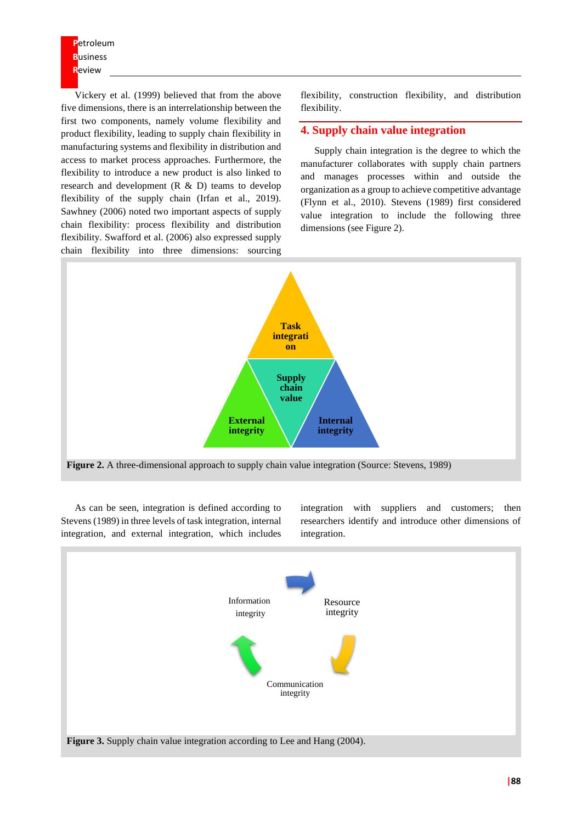Vickery et al. (1999) believed that from the above five dimensions, there is an interrelationship between the first two components, namely volume flexibility and product flexibility, leading to supply chain flexibility in manufacturing systems and flexibility in distribution and access to market process approaches. Furthermore, the flexibility to introduce a new product is also linked to research and development (R & D) teams to develop flexibility of the supply chain (Irfan et al., 2019). Sawhney (2006) noted two important aspects of supply chain flexibility: process flexibility and distribution flexibility. Swafford et al. (2006) also expressed supply chain flexibility into three dimensions: sourcing

flexibility, construction flexibility, and distribution flexibility.

# **4. Supply chain value integration**

Supply chain integration is the degree to which the manufacturer collaborates with supply chain partners and manages processes within and outside the organization as a group to achieve competitive advantage (Flynn et al., 2010). Stevens (1989) first considered value integration to include the following three dimensions (see Figure 2).



As can be seen, integration is defined according to Stevens (1989) in three levels of task integration, internal integration, and external integration, which includes

integration with suppliers and customers; then researchers identify and introduce other dimensions of integration.

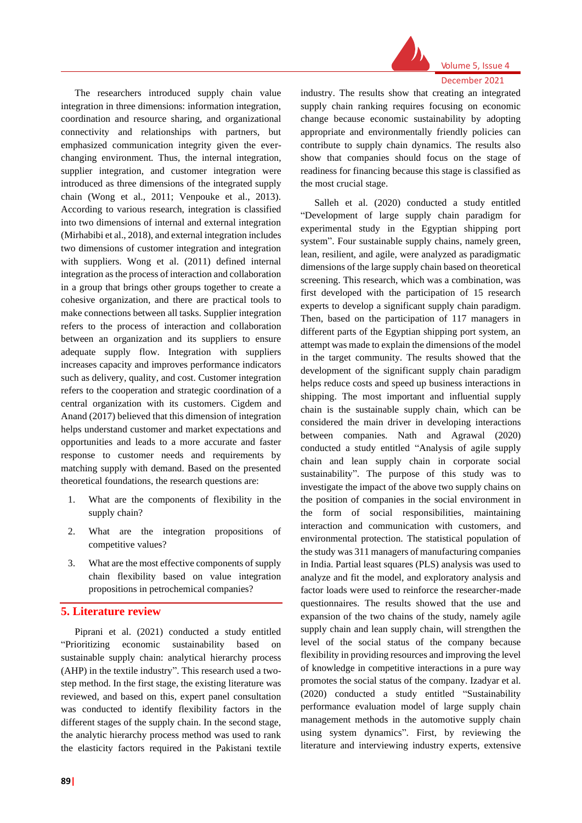

The researchers introduced supply chain value integration in three dimensions: information integration, coordination and resource sharing, and organizational connectivity and relationships with partners, but emphasized communication integrity given the everchanging environment. Thus, the internal integration, supplier integration, and customer integration were introduced as three dimensions of the integrated supply chain (Wong et al., 2011; Venpouke et al., 2013). According to various research, integration is classified into two dimensions of internal and external integration (Mirhabibi et al., 2018), and external integration includes two dimensions of customer integration and integration with suppliers. Wong et al. (2011) defined internal integration as the process of interaction and collaboration in a group that brings other groups together to create a cohesive organization, and there are practical tools to make connections between all tasks. Supplier integration refers to the process of interaction and collaboration between an organization and its suppliers to ensure adequate supply flow. Integration with suppliers increases capacity and improves performance indicators such as delivery, quality, and cost. Customer integration refers to the cooperation and strategic coordination of a central organization with its customers. Cigdem and Anand (2017) believed that this dimension of integration helps understand customer and market expectations and opportunities and leads to a more accurate and faster response to customer needs and requirements by matching supply with demand. Based on the presented theoretical foundations, the research questions are:

- 1. What are the components of flexibility in the supply chain?
- 2. What are the integration propositions of competitive values?
- 3. What are the most effective components of supply chain flexibility based on value integration propositions in petrochemical companies?

# **5. Literature review**

Piprani et al. (2021) conducted a study entitled "Prioritizing economic sustainability based on sustainable supply chain: analytical hierarchy process (AHP) in the textile industry". This research used a twostep method. In the first stage, the existing literature was reviewed, and based on this, expert panel consultation was conducted to identify flexibility factors in the different stages of the supply chain. In the second stage, the analytic hierarchy process method was used to rank the elasticity factors required in the Pakistani textile

industry. The results show that creating an integrated supply chain ranking requires focusing on economic change because economic sustainability by adopting appropriate and environmentally friendly policies can contribute to supply chain dynamics. The results also show that companies should focus on the stage of readiness for financing because this stage is classified as the most crucial stage.

Salleh et al. (2020) conducted a study entitled "Development of large supply chain paradigm for experimental study in the Egyptian shipping port system". Four sustainable supply chains, namely green, lean, resilient, and agile, were analyzed as paradigmatic dimensions of the large supply chain based on theoretical screening. This research, which was a combination, was first developed with the participation of 15 research experts to develop a significant supply chain paradigm. Then, based on the participation of 117 managers in different parts of the Egyptian shipping port system, an attempt was made to explain the dimensions of the model in the target community. The results showed that the development of the significant supply chain paradigm helps reduce costs and speed up business interactions in shipping. The most important and influential supply chain is the sustainable supply chain, which can be considered the main driver in developing interactions between companies. Nath and Agrawal (2020) conducted a study entitled "Analysis of agile supply chain and lean supply chain in corporate social sustainability". The purpose of this study was to investigate the impact of the above two supply chains on the position of companies in the social environment in the form of social responsibilities, maintaining interaction and communication with customers, and environmental protection. The statistical population of the study was 311 managers of manufacturing companies in India. Partial least squares (PLS) analysis was used to analyze and fit the model, and exploratory analysis and factor loads were used to reinforce the researcher-made questionnaires. The results showed that the use and expansion of the two chains of the study, namely agile supply chain and lean supply chain, will strengthen the level of the social status of the company because flexibility in providing resources and improving the level of knowledge in competitive interactions in a pure way promotes the social status of the company. Izadyar et al. (2020) conducted a study entitled "Sustainability performance evaluation model of large supply chain management methods in the automotive supply chain using system dynamics". First, by reviewing the literature and interviewing industry experts, extensive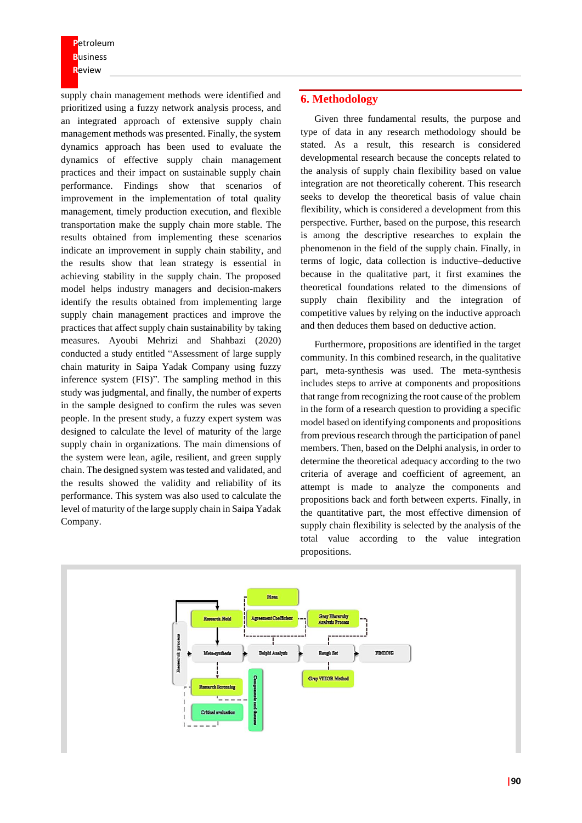supply chain management methods were identified and prioritized using a fuzzy network analysis process, and an integrated approach of extensive supply chain management methods was presented. Finally, the system dynamics approach has been used to evaluate the dynamics of effective supply chain management practices and their impact on sustainable supply chain performance. Findings show that scenarios of improvement in the implementation of total quality management, timely production execution, and flexible transportation make the supply chain more stable. The results obtained from implementing these scenarios indicate an improvement in supply chain stability, and the results show that lean strategy is essential in achieving stability in the supply chain. The proposed model helps industry managers and decision-makers identify the results obtained from implementing large supply chain management practices and improve the practices that affect supply chain sustainability by taking measures. Ayoubi Mehrizi and Shahbazi (2020) conducted a study entitled "Assessment of large supply chain maturity in Saipa Yadak Company using fuzzy inference system (FIS)". The sampling method in this study was judgmental, and finally, the number of experts in the sample designed to confirm the rules was seven people. In the present study, a fuzzy expert system was designed to calculate the level of maturity of the large supply chain in organizations. The main dimensions of the system were lean, agile, resilient, and green supply chain. The designed system wastested and validated, and the results showed the validity and reliability of its performance. This system was also used to calculate the level of maturity of the large supply chain in Saipa Yadak Company.

# **6. Methodology**

Given three fundamental results, the purpose and type of data in any research methodology should be stated. As a result, this research is considered developmental research because the concepts related to the analysis of supply chain flexibility based on value integration are not theoretically coherent. This research seeks to develop the theoretical basis of value chain flexibility, which is considered a development from this perspective. Further, based on the purpose, this research is among the descriptive researches to explain the phenomenon in the field of the supply chain. Finally, in terms of logic, data collection is inductive–deductive because in the qualitative part, it first examines the theoretical foundations related to the dimensions of supply chain flexibility and the integration of competitive values by relying on the inductive approach and then deduces them based on deductive action.

Furthermore, propositions are identified in the target community. In this combined research, in the qualitative part, meta-synthesis was used. The meta-synthesis includes steps to arrive at components and propositions that range from recognizing the root cause of the problem in the form of a research question to providing a specific model based on identifying components and propositions from previous research through the participation of panel members. Then, based on the Delphi analysis, in order to determine the theoretical adequacy according to the two criteria of average and coefficient of agreement, an attempt is made to analyze the components and propositions back and forth between experts. Finally, in the quantitative part, the most effective dimension of supply chain flexibility is selected by the analysis of the total value according to the value integration propositions.

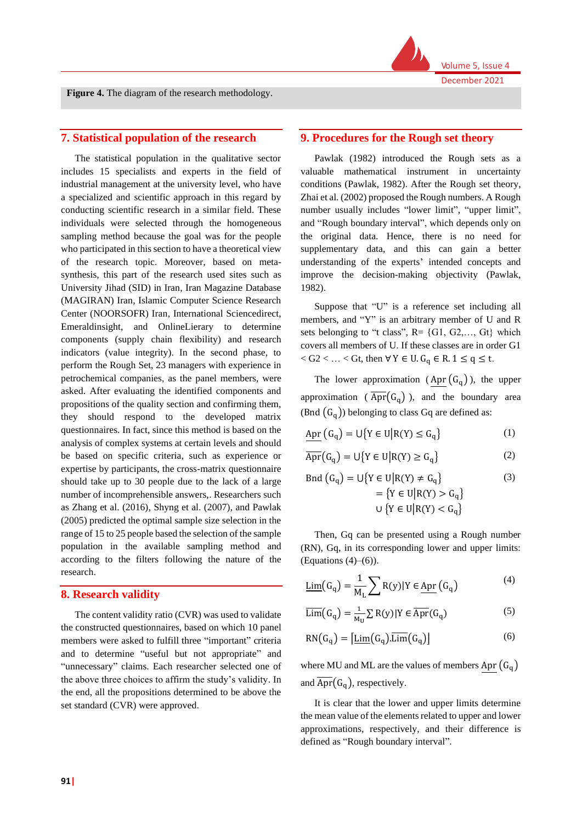

**Figure 4.** The diagram of the research methodology.

# **7. Statistical population of the research**

The statistical population in the qualitative sector includes 15 specialists and experts in the field of industrial management at the university level, who have a specialized and scientific approach in this regard by conducting scientific research in a similar field. These individuals were selected through the homogeneous sampling method because the goal was for the people who participated in this section to have a theoretical view of the research topic. Moreover, based on metasynthesis, this part of the research used sites such as University Jihad (SID) in Iran, Iran Magazine Database (MAGIRAN) Iran, Islamic Computer Science Research Center (NOORSOFR) Iran, International Sciencedirect, Emeraldinsight, and OnlineLierary to determine components (supply chain flexibility) and research indicators (value integrity). In the second phase, to perform the Rough Set, 23 managers with experience in petrochemical companies, as the panel members, were asked. After evaluating the identified components and propositions of the quality section and confirming them, they should respond to the developed matrix questionnaires. In fact, since this method is based on the analysis of complex systems at certain levels and should be based on specific criteria, such as experience or expertise by participants, the cross-matrix questionnaire should take up to 30 people due to the lack of a large number of incomprehensible answers,. Researchers such as Zhang et al. (2016), Shyng et al. (2007), and Pawlak (2005) predicted the optimal sample size selection in the range of 15 to 25 people based the selection of the sample population in the available sampling method and according to the filters following the nature of the research.

#### **8. Research validity**

The content validity ratio (CVR) was used to validate the constructed questionnaires, based on which 10 panel members were asked to fulfill three "important" criteria and to determine "useful but not appropriate" and "unnecessary" claims. Each researcher selected one of the above three choices to affirm the study's validity. In the end, all the propositions determined to be above the set standard (CVR) were approved.

# **9. Procedures for the Rough set theory**

Pawlak (1982) introduced the Rough sets as a valuable mathematical instrument in uncertainty conditions (Pawlak, 1982). After the Rough set theory, Zhai et al. (2002) proposed the Rough numbers. A Rough number usually includes "lower limit", "upper limit", and "Rough boundary interval", which depends only on the original data. Hence, there is no need for supplementary data, and this can gain a better understanding of the experts' intended concepts and improve the decision-making objectivity (Pawlak, 1982).

Suppose that "U" is a reference set including all members, and "Y" is an arbitrary member of U and R sets belonging to "t class",  $R = \{G1, G2, \ldots, Gt\}$  which covers all members of U. If these classes are in order G1  $<$  G2  $<$  ...  $<$  Gt, then  $\forall$  Y  $\in$  U.  $G_q \in R$ . 1  $\leq q \leq t$ .

The lower approximation (Apr  $(G_q)$ ), the upper approximation ( $\overline{Apr}(G_q)$ ), and the boundary area (Bnd  $(G_q)$ ) belonging to class Gq are defined as:

$$
\underline{\mathrm{Apr}}\left(\mathrm{G_q}\right)=\mathrm{U}\big\{Y\in\mathrm{U}\big|R(Y)\leq\mathrm{G_q}\big\}\tag{1}
$$

$$
\overline{\mathrm{Apr}}(G_q) = \bigcup \{ Y \in U \big| R(Y) \ge G_q \} \tag{2}
$$

$$
\text{Bnd}(G_q) = \bigcup \{ Y \in U | R(Y) \neq G_q \} \tag{3}
$$
\n
$$
= \{ Y \in U | R(Y) > G_q \}
$$
\n
$$
\bigcup \{ Y \in U | R(Y) < G_q \}
$$

Then, Gq can be presented using a Rough number (RN), Gq, in its corresponding lower and upper limits: (Equations  $(4)$ – $(6)$ ).

$$
\underline{\text{Lim}}(G_q) = \frac{1}{M_L} \sum R(y) | Y \in \underline{\text{Apr}}(G_q)
$$
 (4)

$$
\overline{\text{Lim}}(G_q) = \frac{1}{M_U} \sum R(y) | Y \in \overline{\text{Apr}}(G_q)
$$
 (5)

$$
RN(G_q) = [\underline{\text{Lim}}(G_q).\overline{\text{Lim}}(G_q)] \tag{6}
$$

where MU and ML are the values of members Apr  $(G_q)$ and  $\overline{Apr}(G_q)$ , respectively.

It is clear that the lower and upper limits determine the mean value of the elements related to upper and lower approximations, respectively, and their difference is defined as "Rough boundary interval".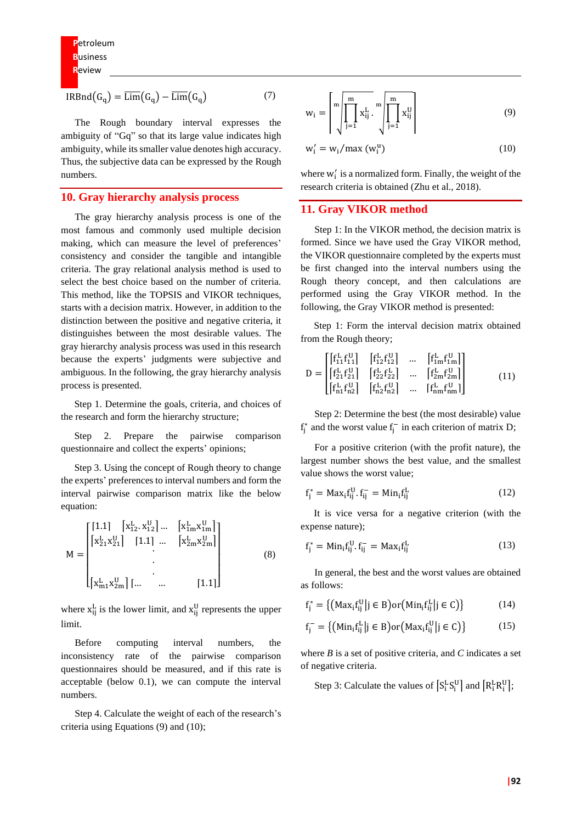$$
IRBnd(G_q) = \overline{\text{Lim}}(G_q) - \overline{\text{Lim}}(G_q)
$$
 (7)

The Rough boundary interval expresses the ambiguity of "Gq" so that its large value indicates high ambiguity, while its smaller value denotes high accuracy. Thus, the subjective data can be expressed by the Rough numbers.

# **10. Gray hierarchy analysis process**

The gray hierarchy analysis process is one of the most famous and commonly used multiple decision making, which can measure the level of preferences' consistency and consider the tangible and intangible criteria. The gray relational analysis method is used to select the best choice based on the number of criteria. This method, like the TOPSIS and VIKOR techniques, starts with a decision matrix. However, in addition to the distinction between the positive and negative criteria, it distinguishes between the most desirable values. The gray hierarchy analysis process was used in this research because the experts' judgments were subjective and ambiguous. In the following, the gray hierarchy analysis process is presented.

Step 1. Determine the goals, criteria, and choices of the research and form the hierarchy structure;

Step 2. Prepare the pairwise comparison questionnaire and collect the experts' opinions;

Step 3. Using the concept of Rough theory to change the experts' preferences to interval numbers and form the interval pairwise comparison matrix like the below equation:

$$
M = \begin{bmatrix} \begin{bmatrix} 1.1 & \begin{bmatrix} x_{12}^L & x_{12}^U \end{bmatrix} \dots & \begin{bmatrix} x_{1m}^L & x_{1m}^U \end{bmatrix} \\ \begin{bmatrix} x_{21}^L & x_{21}^U \end{bmatrix} & \begin{bmatrix} 1.1 \end{bmatrix} \dots & \begin{bmatrix} x_{2m}^L & x_{2m}^U \end{bmatrix} \\ \vdots & \vdots & \ddots & \vdots \\ \begin{bmatrix} x_{m1}^L & x_{2m}^U \end{bmatrix} & \dots & \begin{bmatrix} 1.1 \end{bmatrix} \end{bmatrix} \end{bmatrix} \end{bmatrix} \tag{8}
$$

where  $x_{ij}^L$  is the lower limit, and  $x_{ij}^U$  represents the upper limit.

Before computing interval numbers, the inconsistency rate of the pairwise comparison questionnaires should be measured, and if this rate is acceptable (below 0.1), we can compute the interval numbers.

Step 4. Calculate the weight of each of the research's criteria using Equations (9) and (10);

$$
w_{i} = \left\lceil \sqrt{\prod_{j=1}^{m} x_{ij}^{L}} \cdot \sqrt{\prod_{j=1}^{m} x_{ij}^{U}} \right\rceil \tag{9}
$$

$$
w'_{i} = w_{i}/\max(w_{i}^{u})
$$
 (10)

where  $w'_i$  is a normalized form. Finally, the weight of the research criteria is obtained (Zhu et al., 2018).

# **11. Gray VIKOR method**

Step 1: In the VIKOR method, the decision matrix is formed. Since we have used the Gray VIKOR method, the VIKOR questionnaire completed by the experts must be first changed into the interval numbers using the Rough theory concept, and then calculations are performed using the Gray VIKOR method. In the following, the Gray VIKOR method is presented:

Step 1: Form the interval decision matrix obtained from the Rough theory;

$$
D = \begin{bmatrix} f_{11}^{L} f_{11}^{U} & f_{12}^{L} f_{12}^{U} & \dots & f_{1m}^{L} f_{1m}^{U} \\ f_{21}^{L} f_{21}^{U} & f_{22}^{L} f_{22}^{U} & \dots & f_{2m}^{L} f_{2m}^{U} \\ f_{n1}^{L} f_{n2}^{U} & f_{n2}^{L} f_{n2}^{U} & \dots & f_{nm}^{L} f_{nm}^{U} \end{bmatrix}
$$
(11)

Step 2: Determine the best (the most desirable) value  $f_j^*$  and the worst value  $f_j^-$  in each criterion of matrix D;

For a positive criterion (with the profit nature), the largest number shows the best value, and the smallest value shows the worst value;

$$
f_j^* = \text{Max}_i f_{ij}^U . f_{ij}^- = \text{Min}_i f_{ij}^L \tag{12}
$$

It is vice versa for a negative criterion (with the expense nature);

$$
f_j^* = Min_i f_{ij}^U \t, f_{ij}^- = Max_i f_{ij}^L \t\t(13)
$$

In general, the best and the worst values are obtained as follows:

$$
\mathbf{f}_{j}^{*} = \{ \left( \mathbf{Max}_{i} \mathbf{f}_{ij}^{\mathsf{U}} \middle| j \in \mathsf{B} \right) \text{or} \left( \mathbf{Min}_{i} \mathbf{f}_{ij}^{\mathsf{L}} \middle| j \in \mathsf{C} \right) \} \tag{14}
$$

$$
\mathbf{f}_{\mathbf{j}}^{-} = \{ (\text{Min}_{\mathbf{i}} \mathbf{f}_{\mathbf{i}\mathbf{j}}^{\mathbf{L}} | \mathbf{j} \in \mathbf{B}) \text{or} (\text{Max}_{\mathbf{i}} \mathbf{f}_{\mathbf{i}\mathbf{j}}^{\mathbf{U}} | \mathbf{j} \in \mathbf{C}) \}
$$
(15)

where *B* is a set of positive criteria, and *C* indicates a set of negative criteria.

Step 3: Calculate the values of  $[S_i^L S_i^U]$  and  $[R_i^L R_i^U]$ ;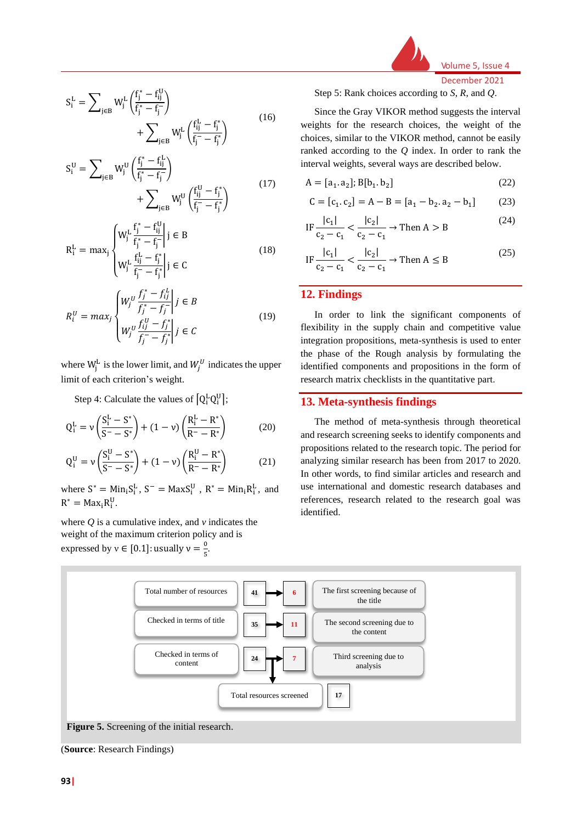Volume 5, Issue 4 December 2021

$$
S_i^L = \sum_{j \in B} W_j^L \left( \frac{f_j^* - f_{ij}^U}{f_j^* - f_j^-} \right) + \sum_{j \in B} W_j^L \left( \frac{f_{ij}^L - f_j^*}{f_j^- - f_j^*} \right)
$$
(16)

$$
S_i^U = \sum_{j \in B} W_j^U \left( \frac{f_j^* - f_{ij}^L}{f_j^* - f_j^-} \right) + \sum_{j \in B} W_j^U \left( \frac{f_{ij}^U - f_j^*}{f_j^- - f_j^*} \right)
$$
(17)

$$
R_{i}^{L} = \max_{j} \begin{cases} W_{j}^{L} \frac{f_{j}^{*} - f_{ij}^{U}}{f_{j}^{*} - f_{j}^{-}} \middle| j \in B \\ W_{j}^{L} \frac{f_{ij}^{L} - f_{j}^{*}}{f_{j}^{-} - f_{j}^{*}} \middle| j \in C \end{cases}
$$
(18)

$$
R_i^U = \max_j \begin{cases} W_j^U \frac{f_j^* - f_{ij}^L}{f_j^* - f_j^-} \middle| j \in B \\ W_j^U \frac{f_{ij}^U - f_j^*}{f_j^- - f_j^*} \middle| j \in C \end{cases}
$$
 (19)

where  $W_j^L$  is the lower limit, and  $W_j^U$  indicates the upper limit of each criterion's weight.

Step 4: Calculate the values of  $[Q_i^L Q_i^U]$ ;

$$
Q_i^L = \nu \left( \frac{S_i^L - S^*}{S^- - S^*} \right) + (1 - \nu) \left( \frac{R_i^L - R^*}{R^- - R^*} \right) \tag{20}
$$

$$
Q_i^U = \nu \left( \frac{S_i^U - S^*}{S^- - S^*} \right) + (1 - \nu) \left( \frac{R_i^U - R^*}{R^- - R^*} \right) \tag{21}
$$

where  $S^* = Min_i S_i^L$ ,  $S^- = MaxS_i^U$ ,  $R^* = Min_i R_i^L$ , and  $R^* = Max_i R_i^U.$ 

where *Q* is a cumulative index, and *v* indicates the weight of the maximum criterion policy and is expressed by  $v \in [0.1]$ : usually  $v = \frac{0}{5}$  $\frac{6}{5}$ .

Step 5: Rank choices according to *S*, *R*, and *Q*.

Since the Gray VIKOR method suggests the interval weights for the research choices, the weight of the choices, similar to the VIKOR method, cannot be easily ranked according to the *Q* index. In order to rank the interval weights, several ways are described below.

$$
A = [a_1 \cdot a_2]; B[b_1 \cdot b_2]
$$
 (22)

$$
C = [c_1, c_2] = A - B = [a_1 - b_2, a_2 - b_1]
$$
 (23)

IF 
$$
\frac{|c_1|}{c_2 - c_1} < \frac{|c_2|}{c_2 - c_1} \to \text{Then } A > B
$$
 (24)

$$
IF \frac{|c_1|}{c_2 - c_1} < \frac{|c_2|}{c_2 - c_1} \to \text{Then } A \le B
$$
 (25)

# **12. Findings**

In order to link the significant components of flexibility in the supply chain and competitive value integration propositions, meta-synthesis is used to enter the phase of the Rough analysis by formulating the identified components and propositions in the form of research matrix checklists in the quantitative part.

# **13. Meta-synthesis findings**

The method of meta-synthesis through theoretical and research screening seeks to identify components and propositions related to the research topic. The period for analyzing similar research has been from 2017 to 2020. In other words, to find similar articles and research and use international and domestic research databases and references, research related to the research goal was identified.



**Figure 5.** Screening of the initial research.

(**Source**: Research Findings)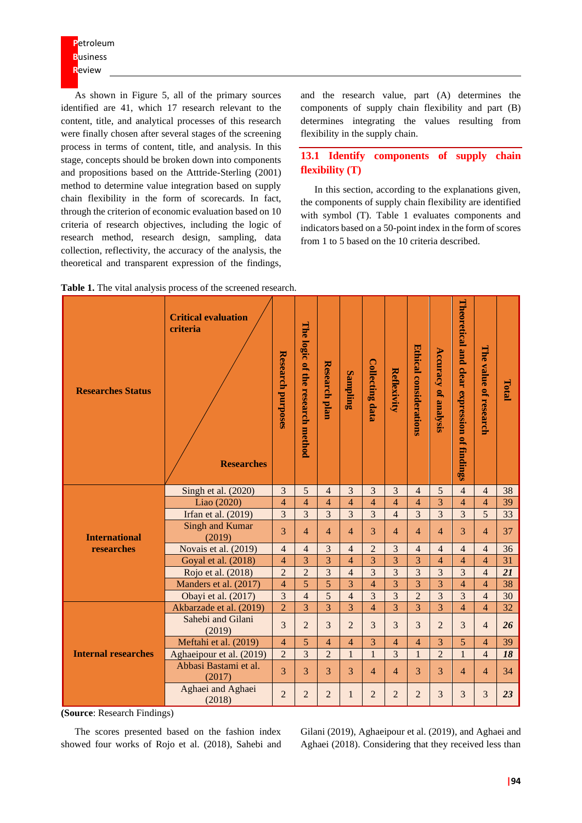As shown in Figure 5, all of the primary sources identified are 41, which 17 research relevant to the content, title, and analytical processes of this research were finally chosen after several stages of the screening process in terms of content, title, and analysis. In this stage, concepts should be broken down into components and propositions based on the Atttride-Sterling (2001) method to determine value integration based on supply chain flexibility in the form of scorecards. In fact, through the criterion of economic evaluation based on 10 criteria of research objectives, including the logic of research method, research design, sampling, data collection, reflectivity, the accuracy of the analysis, the theoretical and transparent expression of the findings,

and the research value, part (A) determines the components of supply chain flexibility and part (B) determines integrating the values resulting from flexibility in the supply chain.

# **13.1 Identify components of supply chain flexibility (T)**

In this section, according to the explanations given, the components of supply chain flexibility are identified with symbol (T). Table 1 evaluates components and indicators based on a 50-point index in the form of scores from 1 to 5 based on the 10 criteria described.

| <b>Researches Status</b>   | <b>Critical evaluation</b><br>criteria<br><b>Researches</b> | Research purposes       | The logic of the research method | <b>Research plan</b> | Sampling       | <b>Collecting data</b>   | Reflexivity    | Ethical considerations | <b>Accuracy of analysis</b> | Theoretical and<br>clear expression of findings | The value of research | Total           |
|----------------------------|-------------------------------------------------------------|-------------------------|----------------------------------|----------------------|----------------|--------------------------|----------------|------------------------|-----------------------------|-------------------------------------------------|-----------------------|-----------------|
|                            | Singh et al. (2020)                                         | 3                       | 5                                | $\overline{4}$       | 3              | $\overline{3}$           | 3              | $\overline{4}$         | 5                           | $\overline{4}$                                  | $\overline{4}$        | 38              |
|                            | Liao (2020)                                                 | $\overline{\mathbf{4}}$ | $\overline{4}$                   | $\overline{4}$       | $\overline{4}$ | $\overline{4}$           | 4              | 4                      | 3                           | $\overline{4}$                                  | $\overline{4}$        | 39              |
|                            | Irfan et al. (2019)                                         | $\overline{3}$          | $\overline{3}$                   | 3                    | $\overline{3}$ | $\overline{3}$           | $\overline{4}$ | $\overline{3}$         | 3                           | $\overline{3}$                                  | $\overline{5}$        | $\overline{33}$ |
| <b>International</b>       | <b>Singh and Kumar</b><br>(2019)                            | 3                       | $\overline{4}$                   | $\overline{4}$       | $\overline{4}$ | $\overline{\mathcal{E}}$ | $\overline{4}$ | $\overline{4}$         | $\overline{4}$              | $\overline{\mathcal{E}}$                        | $\overline{4}$        | 37              |
| researches                 | Novais et al. (2019)                                        | $\overline{4}$          | $\overline{4}$                   | 3                    | $\overline{4}$ | $\overline{2}$           | $\overline{3}$ | $\overline{4}$         | $\overline{4}$              | $\overline{4}$                                  | $\overline{4}$        | 36              |
|                            | Goyal et al. (2018)                                         | 4                       | 3                                | 3                    | $\overline{4}$ | 3                        | $\overline{3}$ | 3                      | 4                           | $\overline{4}$                                  | $\overline{4}$        | 31              |
|                            | Rojo et al. (2018)                                          | $\overline{2}$          | $\overline{2}$                   | 3                    | $\overline{4}$ | $\overline{3}$           | $\overline{3}$ | 3                      | 3                           | 3                                               | $\overline{4}$        | 21              |
|                            | Manders et al. (2017)                                       | $\overline{\mathbf{4}}$ | 5                                | 5                    | 3              | $\overline{4}$           | $\overline{3}$ | $\overline{3}$         | 3                           | $\overline{4}$                                  | $\overline{4}$        | 38              |
|                            | Obayi et al. (2017)                                         | $\overline{\mathbf{3}}$ | $\overline{4}$                   | 5                    | $\overline{4}$ | $\overline{3}$           | $\overline{3}$ | $\overline{2}$         | 3                           | 3                                               | $\overline{4}$        | 30              |
|                            | Akbarzade et al. (2019)                                     | $\overline{2}$          | $\overline{3}$                   | $\overline{3}$       | $\overline{3}$ | $\overline{4}$           | $\overline{3}$ | $\overline{3}$         | $\overline{3}$              | $\overline{4}$                                  | $\overline{4}$        | 32              |
|                            | Sahebi and Gilani<br>(2019)                                 | 3                       | $\overline{2}$                   | 3                    | $\overline{2}$ | $\overline{3}$           | 3              | $\overline{3}$         | $\overline{2}$              | 3                                               | $\overline{4}$        | 26              |
|                            | Meftahi et al. (2019)                                       | $\overline{4}$          | 5                                | $\overline{4}$       | $\overline{4}$ | 3                        | 4              | $\overline{4}$         | 3                           | 5                                               | $\overline{4}$        | 39              |
| <b>Internal researches</b> | Aghaeipour et al. (2019)                                    | $\overline{2}$          | $\overline{\mathbf{3}}$          | $\overline{2}$       | $\mathbf{1}$   | $\mathbf{1}$             | $\overline{3}$ | $\mathbf{1}$           | $\overline{2}$              | $\mathbf{1}$                                    | $\overline{4}$        | 18              |
|                            | Abbasi Bastami et al.<br>(2017)                             | 3                       | 3                                | 3                    | 3              | $\overline{4}$           | 4              | 3                      | 3                           | 4                                               | $\overline{4}$        | 34              |
|                            | Aghaei and Aghaei<br>(2018)                                 | $\overline{2}$          | 2                                | $\overline{2}$       | $\mathbf{1}$   | $\overline{2}$           | $\overline{2}$ | $\overline{2}$         | 3                           | 3                                               | 3                     | 23              |

|  | Table 1. The vital analysis process of the screened research. |
|--|---------------------------------------------------------------|
|--|---------------------------------------------------------------|

**(Source**: Research Findings)

The scores presented based on the fashion index showed four works of Rojo et al. (2018), Sahebi and Gilani (2019), Aghaeipour et al. (2019), and Aghaei and Aghaei (2018). Considering that they received less than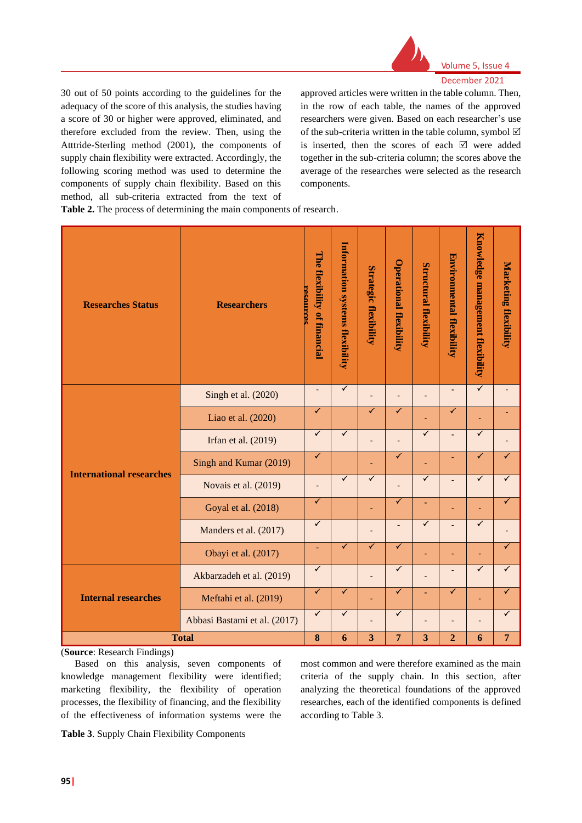

30 out of 50 points according to the guidelines for the adequacy of the score of this analysis, the studies having a score of 30 or higher were approved, eliminated, and therefore excluded from the review. Then, using the Atttride-Sterling method (2001), the components of supply chain flexibility were extracted. Accordingly, the following scoring method was used to determine the components of supply chain flexibility. Based on this method, all sub-criteria extracted from the text of approved articles were written in the table column. Then, in the row of each table, the names of the approved researchers were given. Based on each researcher's use of the sub-criteria written in the table column, symbol  $\boxtimes$ is inserted, then the scores of each  $\boxtimes$  were added together in the sub-criteria column; the scores above the average of the researches were selected as the research components.

**Table 2.** The process of determining the main components of research.

| <b>Researches Status</b>        | The flexibility of financial<br>resources | Information systems flexibility | <b>Strategic flexibility</b> | <b>Operational flexibility</b> | <b>Structural flexibility</b> | Environmental flexibility | Knowledge management flexibility | <b>Marketing flexibility</b> |                |
|---------------------------------|-------------------------------------------|---------------------------------|------------------------------|--------------------------------|-------------------------------|---------------------------|----------------------------------|------------------------------|----------------|
|                                 | Singh et al. (2020)                       | $\overline{\phantom{a}}$        | $\overline{\checkmark}$      |                                |                               |                           | $\overline{\phantom{m}}$         | $\overline{\checkmark}$      |                |
|                                 | Liao et al. (2020)                        | ✓                               |                              | ✓                              | ✓                             |                           | ✓                                | ٠                            |                |
|                                 | Irfan et al. (2019)                       | $\overline{\checkmark}$         | $\overline{\checkmark}$      | $\overline{\phantom{a}}$       | $\overline{a}$                | $\checkmark$              | $\overline{a}$                   | $\overline{\checkmark}$      | ۰              |
| <b>International researches</b> | Singh and Kumar (2019)                    | $\blacktriangledown$            |                              | ä,                             | ✓                             |                           | ٠                                | ✓                            | ✓              |
|                                 | Novais et al. (2019)                      | $\qquad \qquad \blacksquare$    | $\checkmark$                 | ✓                              |                               | ✓                         | $\overline{\phantom{a}}$         | ✓                            | ✓              |
|                                 | Goyal et al. (2018)                       | ✓                               |                              | ÷                              | ✓                             | ٠                         |                                  | Ē,                           | ✓              |
|                                 | Manders et al. (2017)                     | ✓                               |                              | -                              | $\overline{\phantom{a}}$      | ✓                         | $\overline{\phantom{a}}$         | ✓                            |                |
|                                 | Obayi et al. (2017)                       | ٠                               | ✓                            | ✓                              | ✓                             | ٠                         | ٠                                | $\overline{\phantom{a}}$     | ✓              |
|                                 | Akbarzadeh et al. (2019)                  | ✓                               |                              |                                | $\checkmark$                  |                           | $\qquad \qquad \blacksquare$     | ✓                            | ✓              |
| <b>Internal researches</b>      | Meftahi et al. (2019)                     | ✓                               | ✓                            |                                | ✓                             | ÷,                        | ✓                                | ÷,                           |                |
|                                 | Abbasi Bastami et al. (2017)              | $\blacktriangledown$            | ✓                            | ÷,                             | $\checkmark$                  |                           |                                  | ÷,                           | ✓              |
|                                 | <b>Total</b>                              | 8                               | 6                            | $\overline{\mathbf{3}}$        | $\overline{7}$                | $\overline{\mathbf{3}}$   | $\overline{2}$                   | 6                            | $\overline{7}$ |

(**Source**: Research Findings)

Based on this analysis, seven components of knowledge management flexibility were identified; marketing flexibility, the flexibility of operation processes, the flexibility of financing, and the flexibility of the effectiveness of information systems were the

most common and were therefore examined as the main criteria of the supply chain. In this section, after analyzing the theoretical foundations of the approved researches, each of the identified components is defined according to Table 3.

**Table 3**. Supply Chain Flexibility Components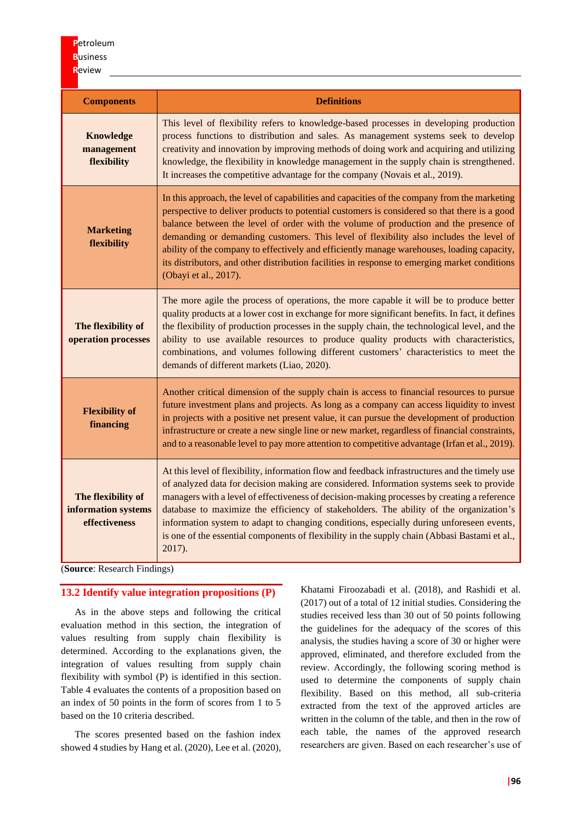| <b>Components</b>                                          | <b>Definitions</b>                                                                                                                                                                                                                                                                                                                                                                                                                                                                                                                                                                                     |
|------------------------------------------------------------|--------------------------------------------------------------------------------------------------------------------------------------------------------------------------------------------------------------------------------------------------------------------------------------------------------------------------------------------------------------------------------------------------------------------------------------------------------------------------------------------------------------------------------------------------------------------------------------------------------|
| <b>Knowledge</b><br>management<br>flexibility              | This level of flexibility refers to knowledge-based processes in developing production<br>process functions to distribution and sales. As management systems seek to develop<br>creativity and innovation by improving methods of doing work and acquiring and utilizing<br>knowledge, the flexibility in knowledge management in the supply chain is strengthened.<br>It increases the competitive advantage for the company (Novais et al., 2019).                                                                                                                                                   |
| <b>Marketing</b><br>flexibility                            | In this approach, the level of capabilities and capacities of the company from the marketing<br>perspective to deliver products to potential customers is considered so that there is a good<br>balance between the level of order with the volume of production and the presence of<br>demanding or demanding customers. This level of flexibility also includes the level of<br>ability of the company to effectively and efficiently manage warehouses, loading capacity,<br>its distributors, and other distribution facilities in response to emerging market conditions<br>(Obayi et al., 2017). |
| The flexibility of<br>operation processes                  | The more agile the process of operations, the more capable it will be to produce better<br>quality products at a lower cost in exchange for more significant benefits. In fact, it defines<br>the flexibility of production processes in the supply chain, the technological level, and the<br>ability to use available resources to produce quality products with characteristics,<br>combinations, and volumes following different customers' characteristics to meet the<br>demands of different markets (Liao, 2020).                                                                              |
| <b>Flexibility of</b><br>financing                         | Another critical dimension of the supply chain is access to financial resources to pursue<br>future investment plans and projects. As long as a company can access liquidity to invest<br>in projects with a positive net present value, it can pursue the development of production<br>infrastructure or create a new single line or new market, regardless of financial constraints,<br>and to a reasonable level to pay more attention to competitive advantage (Irfan et al., 2019).                                                                                                               |
| The flexibility of<br>information systems<br>effectiveness | At this level of flexibility, information flow and feedback infrastructures and the timely use<br>of analyzed data for decision making are considered. Information systems seek to provide<br>managers with a level of effectiveness of decision-making processes by creating a reference<br>database to maximize the efficiency of stakeholders. The ability of the organization's<br>information system to adapt to changing conditions, especially during unforeseen events,<br>is one of the essential components of flexibility in the supply chain (Abbasi Bastami et al.,<br>2017).             |

(**Source**: Research Findings)

# **13.2 Identify value integration propositions (P)**

As in the above steps and following the critical evaluation method in this section, the integration of values resulting from supply chain flexibility is determined. According to the explanations given, the integration of values resulting from supply chain flexibility with symbol (P) is identified in this section. Table 4 evaluates the contents of a proposition based on an index of 50 points in the form of scores from 1 to 5 based on the 10 criteria described.

The scores presented based on the fashion index showed 4 studies by Hang et al. (2020), Lee et al. (2020), Khatami Firoozabadi et al. (2018), and Rashidi et al. (2017) out of a total of 12 initial studies. Considering the studies received less than 30 out of 50 points following the guidelines for the adequacy of the scores of this analysis, the studies having a score of 30 or higher were approved, eliminated, and therefore excluded from the review. Accordingly, the following scoring method is used to determine the components of supply chain flexibility. Based on this method, all sub-criteria extracted from the text of the approved articles are written in the column of the table, and then in the row of each table, the names of the approved research researchers are given. Based on each researcher's use of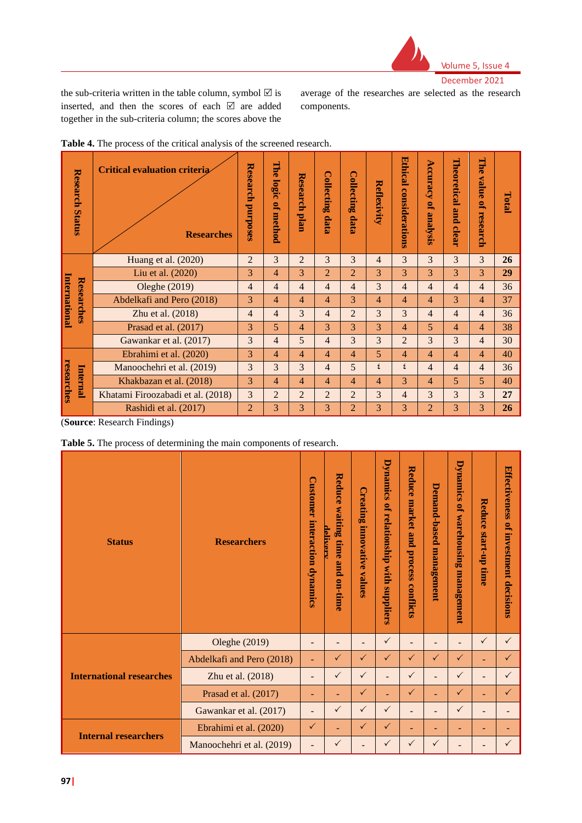

the sub-criteria written in the table column, symbol  $\boxtimes$  is inserted, and then the scores of each  $\boxtimes$  are added together in the sub-criteria column; the scores above the

average of the researches are selected as the research components.

| <b>Research Status</b>      | <b>Critical evaluation criteria</b><br><b>Researches</b> | Research<br><b>purposes</b> | 먑<br>õ<br>logi<br>Õ<br>P,<br>method | Research<br>plan | <b>Collecting</b><br>data | <b>Collecting</b><br>data | Reflexivity    | <b>Ethical</b><br>considerations | Accuracy<br>Q,<br>analysis | Theoretical<br>pue<br>clear | The<br>value<br>g,<br>research | Total |
|-----------------------------|----------------------------------------------------------|-----------------------------|-------------------------------------|------------------|---------------------------|---------------------------|----------------|----------------------------------|----------------------------|-----------------------------|--------------------------------|-------|
|                             | Huang et al. (2020)                                      |                             | 3                                   | $\overline{2}$   | 3                         | 3                         | $\overline{4}$ | 3                                | 3                          | 3                           | $\overline{3}$                 | 26    |
|                             | Liu et al. (2020)                                        | 3                           | 4                                   | 3                | $\overline{2}$            | $\overline{2}$            | 3              | 3                                | 3                          | 3                           | 3                              | 29    |
| International<br>Researches | Oleghe (2019)                                            | $\overline{4}$              | $\overline{4}$                      | $\overline{4}$   | 4                         | $\overline{4}$            | 3              | $\overline{4}$                   | $\overline{4}$             | 4                           | $\overline{4}$                 | 36    |
|                             | Abdelkafi and Pero (2018)                                | 3                           | $\overline{4}$                      | 4                | 4                         | 3                         | $\overline{4}$ | $\overline{4}$                   | 4                          | 3                           | $\overline{4}$                 | 37    |
|                             | Zhu et al. (2018)                                        | $\overline{4}$              | $\overline{4}$                      | 3                | 4                         | $\overline{2}$            | 3              | 3                                | $\overline{4}$             | 4                           | $\overline{4}$                 | 36    |
|                             | Prasad et al. (2017)                                     | 3                           | 5                                   | 4                | 3                         | 3                         | 3              | $\overline{4}$                   | 5                          | 4                           | $\overline{4}$                 | 38    |
|                             | Gawankar et al. (2017)                                   | 3                           | $\overline{4}$                      | 5                | 4                         | 3                         | 3              | $\overline{2}$                   | 3                          | 3                           | 4                              | 30    |
|                             | Ebrahimi et al. (2020)                                   | 3                           | 4                                   | 4                | 4                         | $\overline{4}$            | 5              | $\overline{4}$                   | $\overline{4}$             | 4                           | 4                              | 40    |
|                             | Manoochehri et al. (2019)                                | 3                           | 3                                   | 3                | $\overline{4}$            | 5                         | ٤              | ٤                                | $\overline{4}$             | 4                           | $\overline{4}$                 | 36    |
| researches<br>Internal      | Khakbazan et al. (2018)                                  | 3                           | 4                                   | $\overline{4}$   | 4                         | $\overline{4}$            | $\overline{4}$ | 3                                | 4                          | 5                           | 5                              | 40    |
|                             | Khatami Firoozabadi et al. (2018)                        | 3                           | $\overline{2}$                      | $\overline{2}$   | $\overline{2}$            | $\overline{2}$            | 3              | $\overline{4}$                   | 3                          | 3                           | 3                              | 27    |
|                             | Rashidi et al. (2017)                                    | 2                           | 3                                   | 3                | 3                         | $\overline{2}$            | 3              | 3                                | $\overline{2}$             | 3                           | 3                              | 26    |
|                             |                                                          |                             |                                     |                  |                           |                           |                |                                  |                            |                             |                                |       |

| Table 4. The process of the critical analysis of the screened research. |  |  |  |
|-------------------------------------------------------------------------|--|--|--|
|-------------------------------------------------------------------------|--|--|--|

(**Source**: Research Findings)

|  |  |  |  |  |  | Table 5. The process of determining the main components of research. |  |
|--|--|--|--|--|--|----------------------------------------------------------------------|--|
|--|--|--|--|--|--|----------------------------------------------------------------------|--|

| <b>Status</b>                   | <b>Researchers</b>        | <b>Customer</b><br>interaction dynamics | Reduce<br>waiting<br>deliver<br>time<br>and<br>on-time | C<br>'reating<br>innovativ<br>Õ<br>values | <b>Dynamics</b><br>g,<br>relationship<br>with<br>suppliers | Reduce<br>market<br>and<br>process<br>conflicts | Demand-based<br>management | <b>Dynamics</b><br>Q,<br>warehousing<br>management | Reduce<br>start-up time  | <b>Effectiveness</b><br>of investment decisions |
|---------------------------------|---------------------------|-----------------------------------------|--------------------------------------------------------|-------------------------------------------|------------------------------------------------------------|-------------------------------------------------|----------------------------|----------------------------------------------------|--------------------------|-------------------------------------------------|
|                                 | Oleghe (2019)             | ٠                                       | -                                                      | $\overline{a}$                            | $\checkmark$                                               | $\qquad \qquad =$                               | $\overline{\phantom{0}}$   | $\overline{\phantom{0}}$                           | $\checkmark$             | $\checkmark$                                    |
|                                 | Abdelkafi and Pero (2018) | ÷                                       | $\sqrt{}$                                              | $\sqrt{}$                                 | $\sqrt{}$                                                  | $\checkmark$                                    | $\checkmark$               | $\checkmark$                                       | ٠                        | $\checkmark$                                    |
| <b>International researches</b> | Zhu et al. (2018)         | ٠                                       | $\checkmark$                                           | $\checkmark$                              |                                                            | $\checkmark$                                    |                            | $\checkmark$                                       | $\overline{a}$           | $\checkmark$                                    |
|                                 | Prasad et al. (2017)      | ۰                                       | ٠                                                      | $\checkmark$                              | ÷                                                          | $\checkmark$                                    |                            | $\checkmark$                                       | ٠                        | $\checkmark$                                    |
|                                 | Gawankar et al. (2017)    | $\overline{\phantom{0}}$                | $\checkmark$                                           | $\checkmark$                              | $\checkmark$                                               | $\overline{\phantom{0}}$                        | $\overline{\phantom{0}}$   | $\checkmark$                                       | $\qquad \qquad$          | $\overline{\phantom{a}}$                        |
|                                 | Ebrahimi et al. (2020)    |                                         |                                                        |                                           | $\checkmark$                                               |                                                 |                            |                                                    |                          |                                                 |
| <b>Internal researchers</b>     |                           | $\checkmark$                            |                                                        | $\checkmark$                              |                                                            | ۰                                               | ÷                          | ÷                                                  | $\overline{\phantom{a}}$ | $\overline{\phantom{a}}$                        |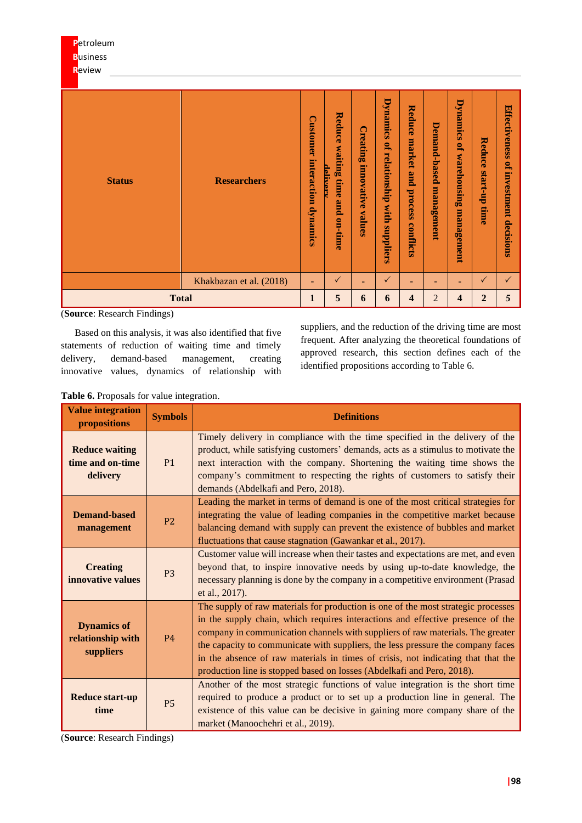| <b>Business</b><br>Review |                         |                                            |                                                          |                                                                    |                                                            |                                                 |                            |                                                    |                                   |                                                |
|---------------------------|-------------------------|--------------------------------------------|----------------------------------------------------------|--------------------------------------------------------------------|------------------------------------------------------------|-------------------------------------------------|----------------------------|----------------------------------------------------|-----------------------------------|------------------------------------------------|
| <b>Status</b>             | <b>Researchers</b>      | <b>Customer</b><br>interaction<br>dynamics | Reduce<br>waiting<br>delivers<br>time<br>pure<br>on-time | $\mathop{\rm C}\nolimits$ reati<br>ь<br>ø۹<br>innovative<br>values | <b>Dynamics</b><br>P,<br>relationship<br>with<br>suppliers | Reduce<br>market<br>and<br>process<br>conflicts | Demand-based<br>management | <b>Dynamics</b><br>P,<br>warehousing<br>management | <b>Reduce</b><br>dn-1.urs<br>time | Effectiveness<br>P,<br>investment<br>decisions |
|                           | Khakbazan et al. (2018) | $\equiv$                                   | ✓                                                        | ۰                                                                  | $\checkmark$                                               | -                                               | ۰                          | $\blacksquare$                                     | $\checkmark$                      | $\checkmark$                                   |
| <b>Total</b>              |                         | $\mathbf{1}$                               | 5                                                        | 6                                                                  | 6                                                          | $\overline{\mathbf{4}}$                         | $\overline{2}$             | $\overline{\mathbf{4}}$                            | $\overline{2}$                    | 5                                              |

(**Source**: Research Findings)

**P**etroleum

Based on this analysis, it was also identified that five statements of reduction of waiting time and timely delivery, demand-based management, creating innovative values, dynamics of relationship with suppliers, and the reduction of the driving time are most frequent. After analyzing the theoretical foundations of approved research, this section defines each of the identified propositions according to Table 6.

**Table 6.** Proposals for value integration.

| <b>Value integration</b><br>propositions              | <b>Symbols</b> | <b>Definitions</b>                                                                                                                                                                                                                                                                                                                                                                                                                                                                                     |
|-------------------------------------------------------|----------------|--------------------------------------------------------------------------------------------------------------------------------------------------------------------------------------------------------------------------------------------------------------------------------------------------------------------------------------------------------------------------------------------------------------------------------------------------------------------------------------------------------|
| <b>Reduce waiting</b><br>time and on-time<br>delivery | P1             | Timely delivery in compliance with the time specified in the delivery of the<br>product, while satisfying customers' demands, acts as a stimulus to motivate the<br>next interaction with the company. Shortening the waiting time shows the<br>company's commitment to respecting the rights of customers to satisfy their<br>demands (Abdelkafi and Pero, 2018).                                                                                                                                     |
| <b>Demand-based</b><br>management                     | P <sub>2</sub> | Leading the market in terms of demand is one of the most critical strategies for<br>integrating the value of leading companies in the competitive market because<br>balancing demand with supply can prevent the existence of bubbles and market<br>fluctuations that cause stagnation (Gawankar et al., 2017).                                                                                                                                                                                        |
| <b>Creating</b><br>innovative values                  | P <sub>3</sub> | Customer value will increase when their tastes and expectations are met, and even<br>beyond that, to inspire innovative needs by using up-to-date knowledge, the<br>necessary planning is done by the company in a competitive environment (Prasad<br>et al., 2017).                                                                                                                                                                                                                                   |
| <b>Dynamics of</b><br>relationship with<br>suppliers  | <b>P4</b>      | The supply of raw materials for production is one of the most strategic processes<br>in the supply chain, which requires interactions and effective presence of the<br>company in communication channels with suppliers of raw materials. The greater<br>the capacity to communicate with suppliers, the less pressure the company faces<br>in the absence of raw materials in times of crisis, not indicating that that the<br>production line is stopped based on losses (Abdelkafi and Pero, 2018). |
| <b>Reduce start-up</b><br>time                        | <b>P5</b>      | Another of the most strategic functions of value integration is the short time<br>required to produce a product or to set up a production line in general. The<br>existence of this value can be decisive in gaining more company share of the<br>market (Manoochehri et al., 2019).                                                                                                                                                                                                                   |

(**Source**: Research Findings)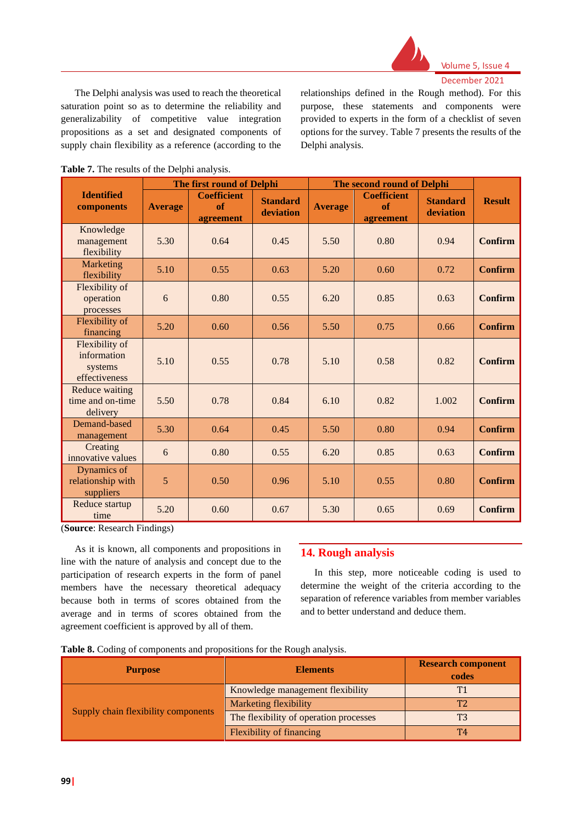

The Delphi analysis was used to reach the theoretical saturation point so as to determine the reliability and generalizability of competitive value integration propositions as a set and designated components of supply chain flexibility as a reference (according to the

relationships defined in the Rough method). For this purpose, these statements and components were provided to experts in the form of a checklist of seven options for the survey. Table 7 presents the results of the Delphi analysis.

|                                                           |                | The first round of Delphi             |                              |                | The second round of Delphi            |                              |               |
|-----------------------------------------------------------|----------------|---------------------------------------|------------------------------|----------------|---------------------------------------|------------------------------|---------------|
| <b>Identified</b><br>components                           | <b>Average</b> | <b>Coefficient</b><br>of<br>agreement | <b>Standard</b><br>deviation | <b>Average</b> | <b>Coefficient</b><br>of<br>agreement | <b>Standard</b><br>deviation | <b>Result</b> |
| Knowledge<br>management<br>flexibility                    | 5.30           | 0.64                                  | 0.45                         | 5.50           | 0.80                                  | 0.94                         | Confirm       |
| Marketing<br>flexibility                                  | 5.10           | 0.55                                  | 0.63                         | 5.20           | 0.60                                  | 0.72                         | Confirm       |
| Flexibility of<br>operation<br>processes                  | 6              | 0.80                                  | 0.55                         | 6.20           | 0.85                                  | 0.63                         | Confirm       |
| Flexibility of<br>financing                               | 5.20           | 0.60                                  | 0.56                         | 5.50           | 0.75                                  | 0.66                         | Confirm       |
| Flexibility of<br>information<br>systems<br>effectiveness | 5.10           | 0.55                                  | 0.78                         | 5.10           | 0.58                                  | 0.82                         | Confirm       |
| Reduce waiting<br>time and on-time<br>delivery            | 5.50           | 0.78                                  | 0.84                         | 6.10           | 0.82                                  | 1.002                        | Confirm       |
| Demand-based<br>management                                | 5.30           | 0.64                                  | 0.45                         | 5.50           | 0.80                                  | 0.94                         | Confirm       |
| Creating<br>innovative values                             | 6              | 0.80                                  | 0.55                         | 6.20           | 0.85                                  | 0.63                         | Confirm       |
| Dynamics of<br>relationship with<br>suppliers             | 5              | 0.50                                  | 0.96                         | 5.10           | 0.55                                  | 0.80                         | Confirm       |
| Reduce startup<br>time                                    | 5.20           | 0.60                                  | 0.67                         | 5.30           | 0.65                                  | 0.69                         | Confirm       |

| Table 7. The results of the Delphi analysis. |  |
|----------------------------------------------|--|
|----------------------------------------------|--|

(**Source**: Research Findings)

As it is known, all components and propositions in line with the nature of analysis and concept due to the participation of research experts in the form of panel members have the necessary theoretical adequacy because both in terms of scores obtained from the average and in terms of scores obtained from the agreement coefficient is approved by all of them.

# **14. Rough analysis**

In this step, more noticeable coding is used to determine the weight of the criteria according to the separation of reference variables from member variables and to better understand and deduce them.

|  |  |  |  | Table 8. Coding of components and propositions for the Rough analysis. |
|--|--|--|--|------------------------------------------------------------------------|

| <b>Purpose</b>                      | <b>Elements</b>                        | <b>Research component</b><br>codes |
|-------------------------------------|----------------------------------------|------------------------------------|
|                                     | Knowledge management flexibility       |                                    |
|                                     | Marketing flexibility                  |                                    |
| Supply chain flexibility components | The flexibility of operation processes |                                    |
|                                     | Flexibility of financing               | T4                                 |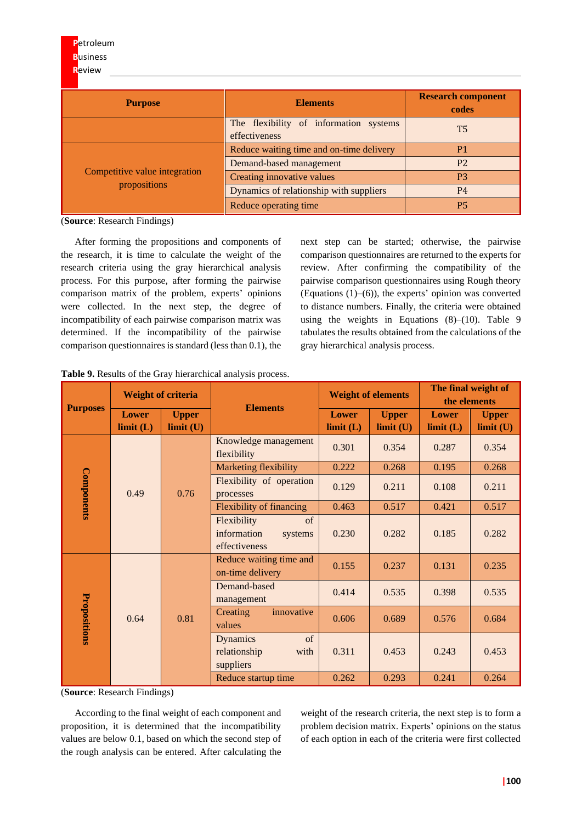| <b>Purpose</b>                | <b>Elements</b>                                         | <b>Research component</b><br>codes |
|-------------------------------|---------------------------------------------------------|------------------------------------|
|                               | The flexibility of information systems<br>effectiveness | Т5                                 |
|                               | Reduce waiting time and on-time delivery                | P1                                 |
|                               | Demand-based management                                 | P <sub>2</sub>                     |
| Competitive value integration | Creating innovative values                              | P <sub>3</sub>                     |
| propositions                  | Dynamics of relationship with suppliers                 | <b>P4</b>                          |
|                               | Reduce operating time                                   | <b>P5</b>                          |

(**Source**: Research Findings)

After forming the propositions and components of the research, it is time to calculate the weight of the research criteria using the gray hierarchical analysis process. For this purpose, after forming the pairwise comparison matrix of the problem, experts' opinions were collected. In the next step, the degree of incompatibility of each pairwise comparison matrix was determined. If the incompatibility of the pairwise comparison questionnaires is standard (less than 0.1), the

next step can be started; otherwise, the pairwise comparison questionnaires are returned to the experts for review. After confirming the compatibility of the pairwise comparison questionnaires using Rough theory (Equations (1)–(6)), the experts' opinion was converted to distance numbers. Finally, the criteria were obtained using the weights in Equations (8)–(10). Table 9 tabulates the results obtained from the calculations of the gray hierarchical analysis process.

| <b>Purposes</b> |                          |                                                                                                                                                                                                                                                                                                 |                                                 |                           | <b>Weight of elements</b> | The final weight of<br>the elements |                          |  |  |
|-----------------|--------------------------|-------------------------------------------------------------------------------------------------------------------------------------------------------------------------------------------------------------------------------------------------------------------------------------------------|-------------------------------------------------|---------------------------|---------------------------|-------------------------------------|--------------------------|--|--|
|                 | <b>Lower</b><br>limit(L) | <b>Weight of criteria</b><br><b>Elements</b><br><b>Upper</b><br>limit (U)<br>flexibility<br><b>Marketing flexibility</b><br>0.76<br>processes<br>Flexibility<br>information<br>effectiveness<br>on-time delivery<br>Demand-based<br>management<br>Creating<br>0.81<br>values<br><b>Dynamics</b> |                                                 | <b>Lower</b><br>limit (L) | <b>Upper</b><br>limit (U) | Lower<br>limit (L)                  | <b>Upper</b><br>limit(U) |  |  |
|                 |                          |                                                                                                                                                                                                                                                                                                 | Knowledge management                            | 0.301                     | 0.354                     | 0.287                               | 0.354                    |  |  |
|                 |                          |                                                                                                                                                                                                                                                                                                 |                                                 | 0.222                     | 0.268                     | 0.195                               | 0.268                    |  |  |
| Components      | 0.49                     |                                                                                                                                                                                                                                                                                                 | Flexibility of operation                        | 0.129                     | 0.211                     | 0.108                               | 0.211                    |  |  |
|                 |                          |                                                                                                                                                                                                                                                                                                 | <b>Flexibility of financing</b>                 | 0.463                     | 0.517                     | 0.421                               | 0.517                    |  |  |
|                 |                          |                                                                                                                                                                                                                                                                                                 | $\sigma$<br>systems                             | 0.230                     | 0.282                     | 0.185                               | 0.282                    |  |  |
|                 |                          |                                                                                                                                                                                                                                                                                                 | Reduce waiting time and                         | 0.155                     | 0.237                     | 0.131                               | 0.235                    |  |  |
|                 |                          |                                                                                                                                                                                                                                                                                                 |                                                 | 0.414                     | 0.535                     | 0.398                               | 0.535                    |  |  |
| Propositions    | 0.64                     |                                                                                                                                                                                                                                                                                                 | innovative                                      | 0.606                     | 0.689                     | 0.576                               | 0.684                    |  |  |
|                 |                          |                                                                                                                                                                                                                                                                                                 | $\sigma$ f<br>relationship<br>with<br>suppliers | 0.311                     | 0.453                     | 0.243                               | 0.453                    |  |  |
|                 |                          |                                                                                                                                                                                                                                                                                                 | Reduce startup time                             | 0.262                     | 0.293                     | 0.241                               | 0.264                    |  |  |

|  |  | Table 9. Results of the Gray hierarchical analysis process. |  |
|--|--|-------------------------------------------------------------|--|
|  |  |                                                             |  |

(**Source**: Research Findings)

According to the final weight of each component and proposition, it is determined that the incompatibility values are below 0.1, based on which the second step of the rough analysis can be entered. After calculating the

weight of the research criteria, the next step is to form a problem decision matrix. Experts' opinions on the status of each option in each of the criteria were first collected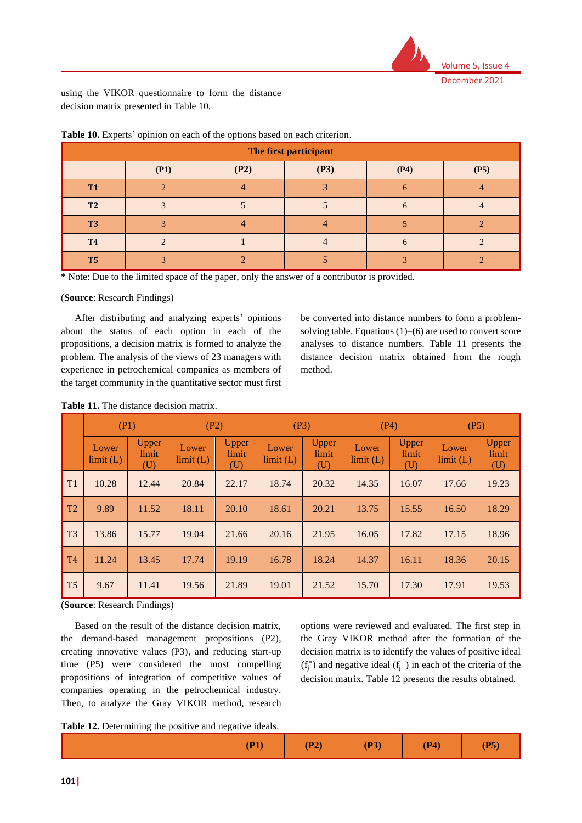

using the VIKOR questionnaire to form the distance decision matrix presented in Table 10.

|                |      |      | The first participant |  |      |
|----------------|------|------|-----------------------|--|------|
|                | (P1) | (P2) | (P3)<br>(P4)          |  | (P5) |
| <b>T1</b>      |      |      |                       |  |      |
| T <sub>2</sub> |      |      |                       |  |      |
| T <sub>3</sub> |      |      |                       |  |      |
| <b>T4</b>      |      |      |                       |  |      |
| T <sub>5</sub> |      |      |                       |  |      |

**Table 10.** Experts' opinion on each of the options based on each criterion.

\* Note: Due to the limited space of the paper, only the answer of a contributor is provided.

#### (**Source**: Research Findings)

After distributing and analyzing experts' opinions about the status of each option in each of the propositions, a decision matrix is formed to analyze the problem. The analysis of the views of 23 managers with experience in petrochemical companies as members of the target community in the quantitative sector must first

be converted into distance numbers to form a problemsolving table. Equations (1)–(6) are used to convert score analyses to distance numbers. Table 11 presents the distance decision matrix obtained from the rough method.

|                | (P1)              |                       |                   | (P2)                  |                   | (P3)                         |                   | (P4)                  | (P5)              |                              |
|----------------|-------------------|-----------------------|-------------------|-----------------------|-------------------|------------------------------|-------------------|-----------------------|-------------------|------------------------------|
|                | Lower<br>limit(L) | Upper<br>limit<br>(U) | Lower<br>limit(L) | Upper<br>limit<br>(U) | Lower<br>limit(L) | <b>Upper</b><br>limit<br>(U) | Lower<br>limit(L) | Upper<br>limit<br>(U) | Lower<br>limit(L) | <b>Upper</b><br>limit<br>(U) |
| T <sub>1</sub> | 10.28             | 12.44                 | 20.84             | 22.17                 | 18.74             | 20.32                        | 14.35             | 16.07                 | 17.66             | 19.23                        |
| T <sub>2</sub> | 9.89              | 11.52                 | 18.11             | 20.10                 | 18.61             | 20.21                        | 13.75             | 15.55                 | 16.50             | 18.29                        |
| T <sub>3</sub> | 13.86             | 15.77                 | 19.04             | 21.66                 | 20.16             | 21.95                        | 16.05             | 17.82                 | 17.15             | 18.96                        |
| T <sub>4</sub> | 11.24             | 13.45                 | 17.74             | 19.19                 | 16.78             | 18.24                        | 14.37             | 16.11                 | 18.36             | 20.15                        |
| T <sub>5</sub> | 9.67              | 11.41                 | 19.56             | 21.89                 | 19.01             | 21.52                        | 15.70             | 17.30                 | 17.91             | 19.53                        |

**Table 11.** The distance decision matrix.

(**Source**: Research Findings)

Based on the result of the distance decision matrix, the demand-based management propositions (P2), creating innovative values (P3), and reducing start-up time (P5) were considered the most compelling propositions of integration of competitive values of companies operating in the petrochemical industry. Then, to analyze the Gray VIKOR method, research

options were reviewed and evaluated. The first step in the Gray VIKOR method after the formation of the decision matrix is to identify the values of positive ideal  $(f_j^*)$  and negative ideal  $(f_j^-)$  in each of the criteria of the decision matrix. Table 12 presents the results obtained.

**Table 12.** Determining the positive and negative ideals.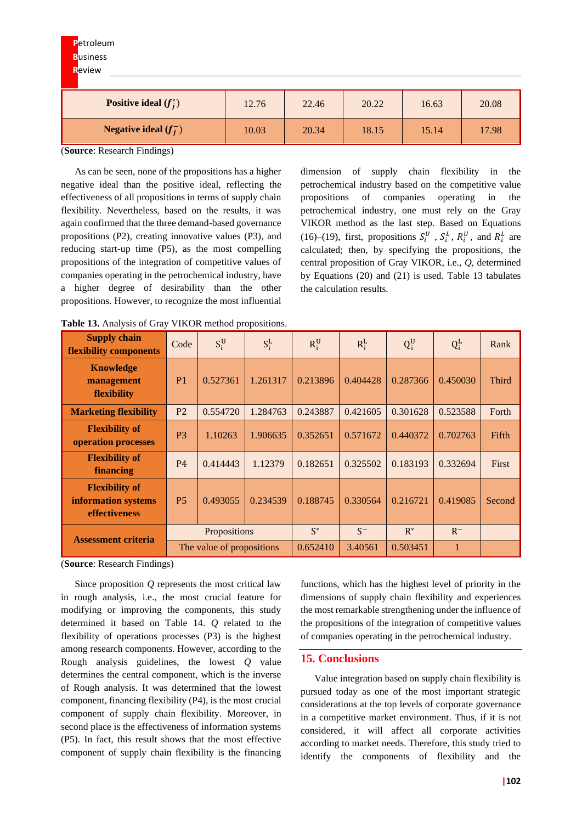| Positive ideal $(f_i^*)$        | 12.76 | 22.46 | 20.22 | 16.63 | 20.08 |
|---------------------------------|-------|-------|-------|-------|-------|
| <b>Negative ideal</b> $(f_i^-)$ | 10.03 | 20.34 | 18.15 | 15.14 | 17.98 |

(**Source**: Research Findings)

As can be seen, none of the propositions has a higher negative ideal than the positive ideal, reflecting the effectiveness of all propositions in terms of supply chain flexibility. Nevertheless, based on the results, it was again confirmed that the three demand-based governance propositions (P2), creating innovative values (P3), and reducing start-up time (P5), as the most compelling propositions of the integration of competitive values of companies operating in the petrochemical industry, have a higher degree of desirability than the other propositions. However, to recognize the most influential

dimension of supply chain flexibility in the petrochemical industry based on the competitive value propositions of companies operating in the petrochemical industry, one must rely on the Gray VIKOR method as the last step. Based on Equations (16)–(19), first, propositions  $S_i^U$ ,  $S_i^L$ ,  $R_i^U$ , and  $R_i^L$  are calculated; then, by specifying the propositions, the central proposition of Gray VIKOR, i.e., *Q*, determined by Equations (20) and (21) is used. Table 13 tabulates the calculation results.

| <b>Supply chain</b><br>flexibility components                        | Code           | $S_i^U$                   | $S_i^L$  | $R_i^U$  | $R_i^L$  | $Q_i^U$  | $Q_i^L$  | Rank   |
|----------------------------------------------------------------------|----------------|---------------------------|----------|----------|----------|----------|----------|--------|
| <b>Knowledge</b><br>management<br>flexibility                        | P <sub>1</sub> | 0.527361                  | 1.261317 | 0.213896 | 0.404428 | 0.287366 | 0.450030 | Third  |
| <b>Marketing flexibility</b>                                         | P <sub>2</sub> | 0.554720                  | 1.284763 | 0.243887 | 0.421605 | 0.301628 | 0.523588 | Forth  |
| <b>Flexibility of</b><br>operation processes                         | P <sub>3</sub> | 1.10263                   | 1.906635 | 0.352651 | 0.571672 | 0.440372 | 0.702763 | Fifth  |
| <b>Flexibility of</b><br>financing                                   | <b>P4</b>      | 0.414443                  | 1.12379  | 0.182651 | 0.325502 | 0.183193 | 0.332694 | First  |
| <b>Flexibility of</b><br>information systems<br><b>effectiveness</b> | <b>P5</b>      | 0.493055                  | 0.234539 | 0.188745 | 0.330564 | 0.216721 | 0.419085 | Second |
| <b>Assessment criteria</b>                                           |                | Propositions              |          | $S^*$    | $S^-$    | $R^*$    | $R^-$    |        |
|                                                                      |                | The value of propositions |          | 0.652410 | 3.40561  | 0.503451 |          |        |

**Table 13.** Analysis of Gray VIKOR method propositions.

(**Source**: Research Findings)

Since proposition *Q* represents the most critical law in rough analysis, i.e., the most crucial feature for modifying or improving the components, this study determined it based on Table 14. *Q* related to the flexibility of operations processes (P3) is the highest among research components. However, according to the Rough analysis guidelines, the lowest *Q* value determines the central component, which is the inverse of Rough analysis. It was determined that the lowest component, financing flexibility (P4), is the most crucial component of supply chain flexibility. Moreover, in second place is the effectiveness of information systems (P5). In fact, this result shows that the most effective component of supply chain flexibility is the financing

functions, which has the highest level of priority in the dimensions of supply chain flexibility and experiences the most remarkable strengthening under the influence of the propositions of the integration of competitive values of companies operating in the petrochemical industry.

# **15. Conclusions**

Value integration based on supply chain flexibility is pursued today as one of the most important strategic considerations at the top levels of corporate governance in a competitive market environment. Thus, if it is not considered, it will affect all corporate activities according to market needs. Therefore, this study tried to identify the components of flexibility and the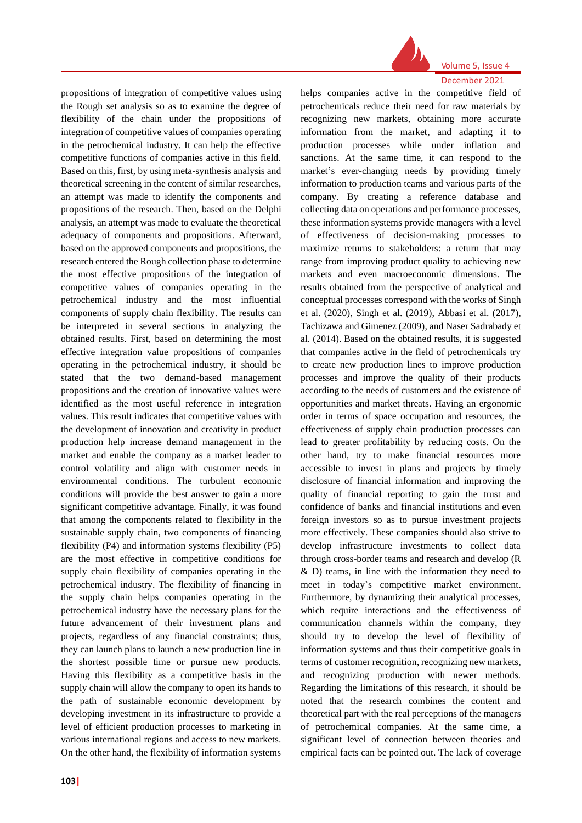

Volume 5, Issue 4

# propositions of integration of competitive values using the Rough set analysis so as to examine the degree of flexibility of the chain under the propositions of integration of competitive values of companies operating in the petrochemical industry. It can help the effective competitive functions of companies active in this field. Based on this, first, by using meta-synthesis analysis and theoretical screening in the content of similar researches, an attempt was made to identify the components and propositions of the research. Then, based on the Delphi analysis, an attempt was made to evaluate the theoretical adequacy of components and propositions. Afterward, based on the approved components and propositions, the research entered the Rough collection phase to determine the most effective propositions of the integration of competitive values of companies operating in the petrochemical industry and the most influential components of supply chain flexibility. The results can be interpreted in several sections in analyzing the obtained results. First, based on determining the most effective integration value propositions of companies operating in the petrochemical industry, it should be stated that the two demand-based management propositions and the creation of innovative values were identified as the most useful reference in integration values. This result indicates that competitive values with the development of innovation and creativity in product production help increase demand management in the market and enable the company as a market leader to control volatility and align with customer needs in environmental conditions. The turbulent economic conditions will provide the best answer to gain a more significant competitive advantage. Finally, it was found that among the components related to flexibility in the sustainable supply chain, two components of financing flexibility (P4) and information systems flexibility (P5) are the most effective in competitive conditions for supply chain flexibility of companies operating in the petrochemical industry. The flexibility of financing in the supply chain helps companies operating in the petrochemical industry have the necessary plans for the future advancement of their investment plans and projects, regardless of any financial constraints; thus, they can launch plans to launch a new production line in the shortest possible time or pursue new products. Having this flexibility as a competitive basis in the supply chain will allow the company to open its hands to the path of sustainable economic development by developing investment in its infrastructure to provide a level of efficient production processes to marketing in various international regions and access to new markets.

On the other hand, the flexibility of information systems

December 2021 helps companies active in the competitive field of petrochemicals reduce their need for raw materials by recognizing new markets, obtaining more accurate information from the market, and adapting it to production processes while under inflation and sanctions. At the same time, it can respond to the market's ever-changing needs by providing timely information to production teams and various parts of the company. By creating a reference database and collecting data on operations and performance processes, these information systems provide managers with a level of effectiveness of decision-making processes to maximize returns to stakeholders: a return that may range from improving product quality to achieving new markets and even macroeconomic dimensions. The results obtained from the perspective of analytical and conceptual processes correspond with the works of Singh et al. (2020), Singh et al. (2019), Abbasi et al. (2017), Tachizawa and Gimenez (2009), and Naser Sadrabady et al. (2014). Based on the obtained results, it is suggested that companies active in the field of petrochemicals try to create new production lines to improve production processes and improve the quality of their products according to the needs of customers and the existence of opportunities and market threats. Having an ergonomic order in terms of space occupation and resources, the effectiveness of supply chain production processes can lead to greater profitability by reducing costs. On the other hand, try to make financial resources more accessible to invest in plans and projects by timely disclosure of financial information and improving the quality of financial reporting to gain the trust and confidence of banks and financial institutions and even foreign investors so as to pursue investment projects more effectively. These companies should also strive to develop infrastructure investments to collect data through cross-border teams and research and develop (R & D) teams, in line with the information they need to meet in today's competitive market environment. Furthermore, by dynamizing their analytical processes, which require interactions and the effectiveness of communication channels within the company, they should try to develop the level of flexibility of information systems and thus their competitive goals in terms of customer recognition, recognizing new markets, and recognizing production with newer methods. Regarding the limitations of this research, it should be noted that the research combines the content and theoretical part with the real perceptions of the managers of petrochemical companies. At the same time, a significant level of connection between theories and empirical facts can be pointed out. The lack of coverage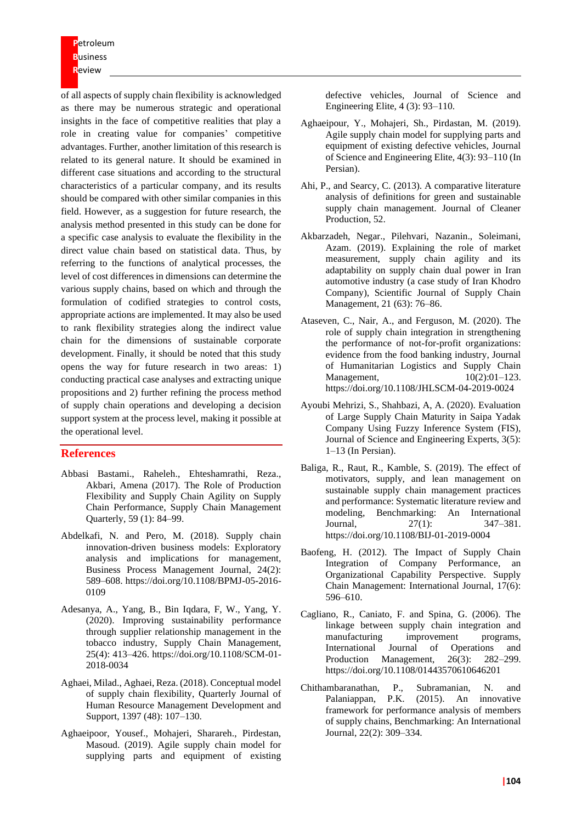of all aspects of supply chain flexibility is acknowledged as there may be numerous strategic and operational insights in the face of competitive realities that play a role in creating value for companies' competitive advantages. Further, another limitation of this research is related to its general nature. It should be examined in different case situations and according to the structural characteristics of a particular company, and its results should be compared with other similar companies in this field. However, as a suggestion for future research, the analysis method presented in this study can be done for a specific case analysis to evaluate the flexibility in the direct value chain based on statistical data. Thus, by referring to the functions of analytical processes, the level of cost differences in dimensions can determine the various supply chains, based on which and through the formulation of codified strategies to control costs, appropriate actions are implemented. It may also be used to rank flexibility strategies along the indirect value chain for the dimensions of sustainable corporate development. Finally, it should be noted that this study opens the way for future research in two areas: 1) conducting practical case analyses and extracting unique propositions and 2) further refining the process method of supply chain operations and developing a decision support system at the process level, making it possible at the operational level.

# **References**

- Abbasi Bastami., Raheleh., Ehteshamrathi, Reza., Akbari, Amena (2017). The Role of Production Flexibility and Supply Chain Agility on Supply Chain Performance, Supply Chain Management Quarterly, 59 (1): 84–99.
- Abdelkafi, N. and Pero, M. (2018). Supply chain innovation-driven business models: Exploratory analysis and implications for management, Business Process Management Journal, 24(2): 589–608. https://doi.org/10.1108/BPMJ-05-2016- 0109
- Adesanya, A., Yang, B., Bin Iqdara, F, W., Yang, Y. (2020). Improving sustainability performance through supplier relationship management in the tobacco industry, Supply Chain Management, 25(4): 413–426. https://doi.org/10.1108/SCM-01- 2018-0034
- Aghaei, Milad., Aghaei, Reza. (2018). Conceptual model of supply chain flexibility, Quarterly Journal of Human Resource Management Development and Support, 1397 (48): 107–130.
- Aghaeipoor, Yousef., Mohajeri, Sharareh., Pirdestan, Masoud. (2019). Agile supply chain model for supplying parts and equipment of existing

defective vehicles, Journal of Science and Engineering Elite, 4 (3): 93–110.

- Aghaeipour, Y., Mohajeri, Sh., Pirdastan, M. (2019). Agile supply chain model for supplying parts and equipment of existing defective vehicles, Journal of Science and Engineering Elite, 4(3): 93–110 (In Persian).
- Ahi, P., and Searcy, C. (2013). A comparative literature analysis of definitions for green and sustainable supply chain management. Journal of Cleaner Production, 52.
- Akbarzadeh, Negar., Pilehvari, Nazanin., Soleimani, Azam. (2019). Explaining the role of market measurement, supply chain agility and its adaptability on supply chain dual power in Iran automotive industry (a case study of Iran Khodro Company), Scientific Journal of Supply Chain Management, 21 (63): 76–86.
- Ataseven, C., Nair, A., and Ferguson, M. (2020). The role of supply chain integration in strengthening the performance of not-for-profit organizations: evidence from the food banking industry, Journal of Humanitarian Logistics and Supply Chain Management, 10(2):01–123. https://doi.org/10.1108/JHLSCM-04-2019-0024
- Ayoubi Mehrizi, S., Shahbazi, A, A. (2020). Evaluation of Large Supply Chain Maturity in Saipa Yadak Company Using Fuzzy Inference System (FIS), Journal of Science and Engineering Experts, 3(5): 1–13 (In Persian).
- Baliga, R., Raut, R., Kamble, S. (2019). The effect of motivators, supply, and lean management on sustainable supply chain management practices and performance: Systematic literature review and modeling, Benchmarking: An International Journal, 27(1): 347–381. https://doi.org/10.1108/BIJ-01-2019-0004
- Baofeng, H. (2012). The Impact of Supply Chain Integration of Company Performance, an Organizational Capability Perspective. Supply Chain Management: International Journal, 17(6): 596–610.
- Cagliano, R., Caniato, F. and Spina, G. (2006). The linkage between supply chain integration and manufacturing improvement programs, International Journal of Operations and Production Management, 26(3): 282–299. https://doi.org/10.1108/01443570610646201
- Chithambaranathan, P., Subramanian, N. and Palaniappan, P.K. (2015). An innovative framework for performance analysis of members of supply chains, Benchmarking: An International Journal, 22(2): 309–334.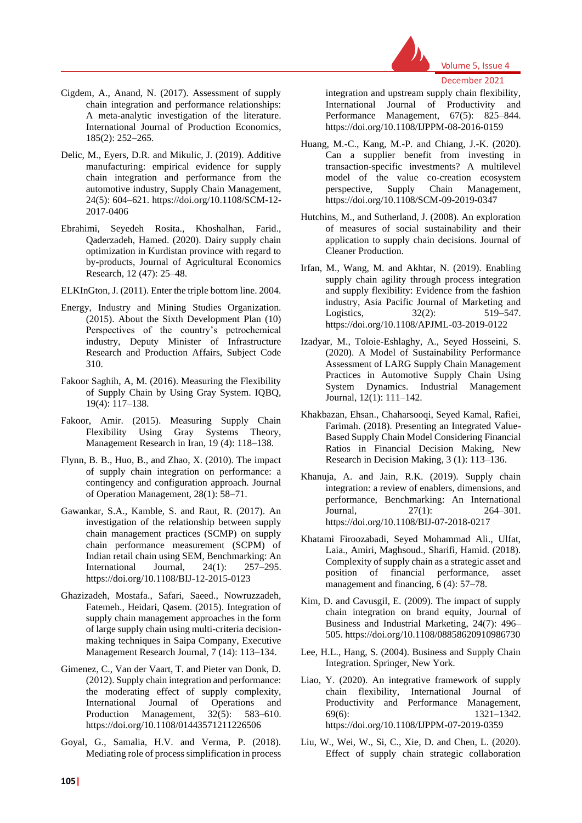

December 2021

- Cigdem, A., Anand, N. (2017). Assessment of supply chain integration and performance relationships: A meta-analytic investigation of the literature. International Journal of Production Economics, 185(2): 252–265.
- Delic, M., Eyers, D.R. and Mikulic, J. (2019). Additive manufacturing: empirical evidence for supply chain integration and performance from the automotive industry, Supply Chain Management, 24(5): 604–621. https://doi.org/10.1108/SCM-12- 2017-0406
- Ebrahimi, Seyedeh Rosita., Khoshalhan, Farid., Qaderzadeh, Hamed. (2020). Dairy supply chain optimization in Kurdistan province with regard to by-products, Journal of Agricultural Economics Research, 12 (47): 25–48.

ELKInGton, J. (2011). Enter the triple bottom line. 2004.

- Energy, Industry and Mining Studies Organization. (2015). About the Sixth Development Plan (10) Perspectives of the country's petrochemical industry, Deputy Minister of Infrastructure Research and Production Affairs, Subject Code 310.
- Fakoor Saghih, A, M. (2016). Measuring the Flexibility of Supply Chain by Using Gray System. IQBQ, 19(4): 117–138.
- Fakoor, Amir. (2015). Measuring Supply Chain Flexibility Using Gray Systems Theory, Management Research in Iran, 19 (4): 118–138.
- Flynn, B. B., Huo, B., and Zhao, X. (2010). The impact of supply chain integration on performance: a contingency and configuration approach. Journal of Operation Management, 28(1): 58–71.
- Gawankar, S.A., Kamble, S. and Raut, R. (2017). An investigation of the relationship between supply chain management practices (SCMP) on supply chain performance measurement (SCPM) of Indian retail chain using SEM, Benchmarking: An International Journal, 24(1): 257–295. https://doi.org/10.1108/BIJ-12-2015-0123
- Ghazizadeh, Mostafa., Safari, Saeed., Nowruzzadeh, Fatemeh., Heidari, Qasem. (2015). Integration of supply chain management approaches in the form of large supply chain using multi-criteria decisionmaking techniques in Saipa Company, Executive Management Research Journal, 7 (14): 113–134.
- Gimenez, C., Van der Vaart, T. and Pieter van Donk, D. (2012). Supply chain integration and performance: the moderating effect of supply complexity, International Journal of Operations and Production Management, 32(5): 583–610. https://doi.org/10.1108/01443571211226506
- Goyal, G., Samalia, H.V. and Verma, P. (2018). Mediating role of process simplification in process

integration and upstream supply chain flexibility, International Journal of Productivity and Performance Management, 67(5): 825–844. https://doi.org/10.1108/IJPPM-08-2016-0159

- Huang, M.-C., Kang, M.-P. and Chiang, J.-K. (2020). Can a supplier benefit from investing in transaction-specific investments? A multilevel model of the value co-creation ecosystem perspective, Supply Chain Management, https://doi.org/10.1108/SCM-09-2019-0347
- Hutchins, M., and Sutherland, J. (2008). An exploration of measures of social sustainability and their application to supply chain decisions. Journal of Cleaner Production.
- Irfan, M., Wang, M. and Akhtar, N. (2019). Enabling supply chain agility through process integration and supply flexibility: Evidence from the fashion industry, Asia Pacific Journal of Marketing and Logistics, 32(2): 519–547. https://doi.org/10.1108/APJML-03-2019-0122
- Izadyar, M., Toloie-Eshlaghy, A., Seyed Hosseini, S. (2020). A Model of Sustainability Performance Assessment of LARG Supply Chain Management Practices in Automotive Supply Chain Using System Dynamics. Industrial Management Journal, 12(1): 111–142.
- Khakbazan, Ehsan., Chaharsooqi, Seyed Kamal, Rafiei, Farimah. (2018). Presenting an Integrated Value-Based Supply Chain Model Considering Financial Ratios in Financial Decision Making, New Research in Decision Making, 3 (1): 113–136.
- Khanuja, A. and Jain, R.K. (2019). Supply chain integration: a review of enablers, dimensions, and performance, Benchmarking: An International Journal, 27(1): 264–301. https://doi.org/10.1108/BIJ-07-2018-0217
- Khatami Firoozabadi, Seyed Mohammad Ali., Ulfat, Laia., Amiri, Maghsoud., Sharifi, Hamid. (2018). Complexity of supply chain as a strategic asset and position of financial performance, asset management and financing, 6 (4): 57–78.
- Kim, D. and Cavusgil, E. (2009). The impact of supply chain integration on brand equity, Journal of Business and Industrial Marketing, 24(7): 496– 505. https://doi.org/10.1108/08858620910986730
- Lee, H.L., Hang, S. (2004). Business and Supply Chain Integration. Springer, New York.
- Liao, Y. (2020). An integrative framework of supply chain flexibility, International Journal of Productivity and Performance Management, 69(6): 1321–1342. https://doi.org/10.1108/IJPPM-07-2019-0359
- Liu, W., Wei, W., Si, C., Xie, D. and Chen, L. (2020). Effect of supply chain strategic collaboration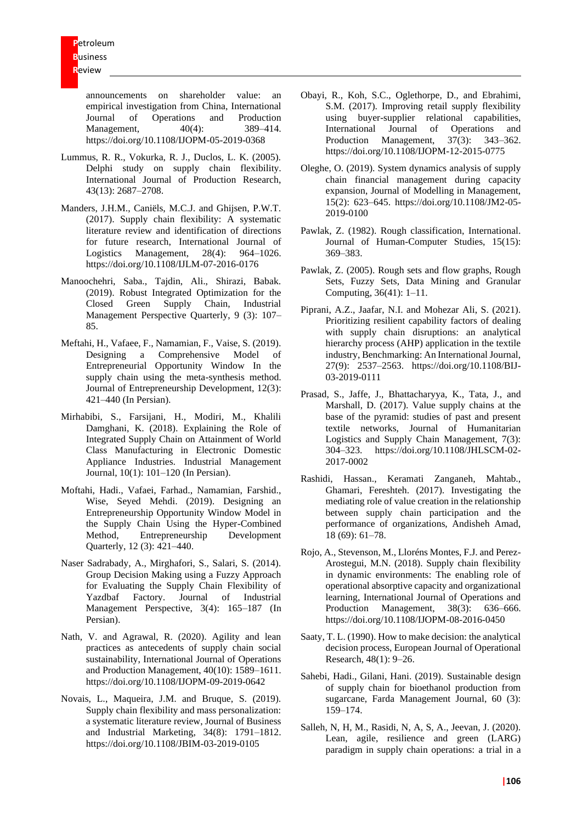announcements on shareholder value: an empirical investigation from China, International Journal of Operations and Production Management. 40(4): 389–414. https://doi.org/10.1108/IJOPM-05-2019-0368

- Lummus, R. R., Vokurka, R. J., Duclos, L. K. (2005). Delphi study on supply chain flexibility. International Journal of Production Research, 43(13): 2687–2708.
- Manders, J.H.M., Caniëls, M.C.J. and Ghijsen, P.W.T. (2017). Supply chain flexibility: A systematic literature review and identification of directions for future research, International Journal of Logistics Management, 28(4): 964–1026. https://doi.org/10.1108/IJLM-07-2016-0176
- Manoochehri, Saba., Tajdin, Ali., Shirazi, Babak. (2019). Robust Integrated Optimization for the Closed Green Supply Chain, Industrial Management Perspective Quarterly, 9 (3): 107– 85.
- Meftahi, H., Vafaee, F., Namamian, F., Vaise, S. (2019). Designing a Comprehensive Model of Entrepreneurial Opportunity Window In the supply chain using the meta-synthesis method. Journal of Entrepreneurship Development, 12(3): 421–440 (In Persian).
- Mirhabibi, S., Farsijani, H., Modiri, M., Khalili Damghani, K. (2018). Explaining the Role of Integrated Supply Chain on Attainment of World Class Manufacturing in Electronic Domestic Appliance Industries. Industrial Management Journal, 10(1): 101–120 (In Persian).
- Moftahi, Hadi., Vafaei, Farhad., Namamian, Farshid., Wise, Seyed Mehdi. (2019). Designing an Entrepreneurship Opportunity Window Model in the Supply Chain Using the Hyper-Combined Method, Entrepreneurship Development Quarterly, 12 (3): 421–440.
- Naser Sadrabady, A., Mirghafori, S., Salari, S. (2014). Group Decision Making using a Fuzzy Approach for Evaluating the Supply Chain Flexibility of Yazdbaf Factory. Journal of Industrial Management Perspective, 3(4): 165–187 (In Persian).
- Nath, V. and Agrawal, R. (2020). Agility and lean practices as antecedents of supply chain social sustainability, International Journal of Operations and Production Management, 40(10): 1589–1611. https://doi.org/10.1108/IJOPM-09-2019-0642
- Novais, L., Maqueira, J.M. and Bruque, S. (2019). Supply chain flexibility and mass personalization: a systematic literature review, Journal of Business and Industrial Marketing, 34(8): 1791–1812. https://doi.org/10.1108/JBIM-03-2019-0105
- Obayi, R., Koh, S.C., Oglethorpe, D., and Ebrahimi, S.M. (2017). Improving retail supply flexibility using buyer-supplier relational capabilities, International Journal of Operations and Production Management, 37(3): 343–362. https://doi.org/10.1108/IJOPM-12-2015-0775
- Oleghe, O. (2019). System dynamics analysis of supply chain financial management during capacity expansion, Journal of Modelling in Management, 15(2): 623–645. https://doi.org/10.1108/JM2-05- 2019-0100
- Pawlak, Z. (1982). Rough classification, International. Journal of Human-Computer Studies, 15(15): 369–383.
- Pawlak, Z. (2005). Rough sets and flow graphs, Rough Sets, Fuzzy Sets, Data Mining and Granular Computing, 36(41): 1–11.
- Piprani, A.Z., Jaafar, N.I. and Mohezar Ali, S. (2021). Prioritizing resilient capability factors of dealing with supply chain disruptions: an analytical hierarchy process (AHP) application in the textile industry, Benchmarking: An International Journal, 27(9): 2537–2563. https://doi.org/10.1108/BIJ-03-2019-0111
- Prasad, S., Jaffe, J., Bhattacharyya, K., Tata, J., and Marshall, D. (2017). Value supply chains at the base of the pyramid: studies of past and present textile networks, Journal of Humanitarian Logistics and Supply Chain Management, 7(3): 304–323. https://doi.org/10.1108/JHLSCM-02- 2017-0002
- Rashidi, Hassan., Keramati Zanganeh, Mahtab., Ghamari, Fereshteh. (2017). Investigating the mediating role of value creation in the relationship between supply chain participation and the performance of organizations, Andisheh Amad, 18 (69): 61–78.
- Rojo, A., Stevenson, M., Lloréns Montes, F.J. and Perez-Arostegui, M.N. (2018). Supply chain flexibility in dynamic environments: The enabling role of operational absorptive capacity and organizational learning, International Journal of Operations and Production Management, 38(3): 636–666. https://doi.org/10.1108/IJOPM-08-2016-0450
- Saaty, T. L. (1990). How to make decision: the analytical decision process, European Journal of Operational Research, 48(1): 9–26.
- Sahebi, Hadi., Gilani, Hani. (2019). Sustainable design of supply chain for bioethanol production from sugarcane, Farda Management Journal, 60 (3): 159–174.
- Salleh, N, H, M., Rasidi, N, A, S, A., Jeevan, J. (2020). Lean, agile, resilience and green (LARG) paradigm in supply chain operations: a trial in a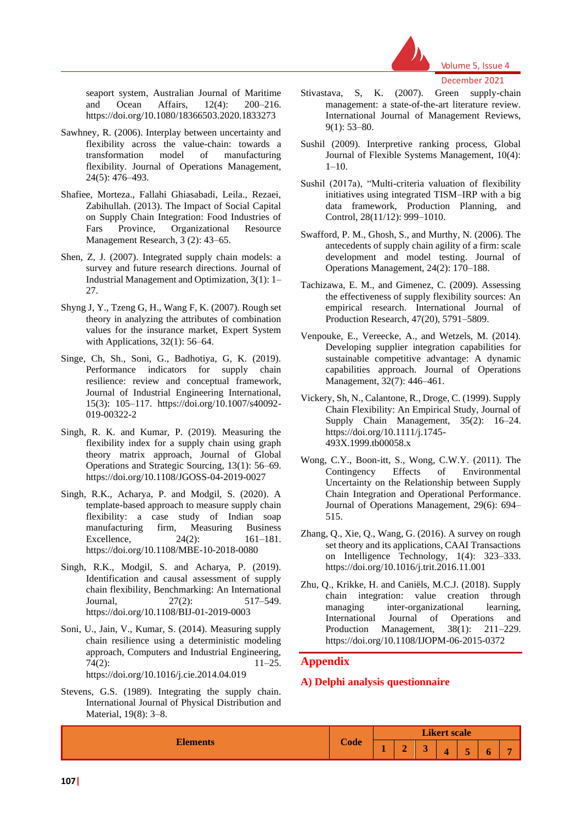

seaport system, Australian Journal of Maritime and Ocean Affairs, 12(4): 200–216. https://doi.org/10.1080/18366503.2020.1833273

- Sawhney, R. (2006). Interplay between uncertainty and flexibility across the value-chain: towards a transformation model of manufacturing flexibility. Journal of Operations Management, 24(5): 476–493.
- Shafiee, Morteza., Fallahi Ghiasabadi, Leila., Rezaei, Zabihullah. (2013). The Impact of Social Capital on Supply Chain Integration: Food Industries of Fars Province, Organizational Resource Management Research, 3 (2): 43–65.
- Shen, Z, J. (2007). Integrated supply chain models: a survey and future research directions. Journal of Industrial Management and Optimization, 3(1): 1– 27.
- Shyng J, Y., Tzeng G, H., Wang F, K. (2007). Rough set theory in analyzing the attributes of combination values for the insurance market, Expert System with Applications, 32(1): 56–64.
- Singe, Ch, Sh., Soni, G., Badhotiya, G, K. (2019). Performance indicators for supply chain resilience: review and conceptual framework, Journal of Industrial Engineering International, 15(3): 105–117. https://doi.org/10.1007/s40092- 019-00322-2
- Singh, R. K. and Kumar, P. (2019). Measuring the flexibility index for a supply chain using graph theory matrix approach, Journal of Global Operations and Strategic Sourcing, 13(1): 56–69. https://doi.org/10.1108/JGOSS-04-2019-0027
- Singh, R.K., Acharya, P. and Modgil, S. (2020). A template-based approach to measure supply chain flexibility: a case study of Indian soap manufacturing firm, Measuring Business Excellence, 24(2): 161–181. https://doi.org/10.1108/MBE-10-2018-0080
- Singh, R.K., Modgil, S. and Acharya, P. (2019). Identification and causal assessment of supply chain flexibility, Benchmarking: An International Journal, 27(2): 517–549. https://doi.org/10.1108/BIJ-01-2019-0003
- Soni, U., Jain, V., Kumar, S. (2014). Measuring supply chain resilience using a deterministic modeling approach, Computers and Industrial Engineering,  $74(2):$  11–25. https://doi.org/10.1016/j.cie.2014.04.019
- Stevens, G.S. (1989). Integrating the supply chain. International Journal of Physical Distribution and Material, 19(8): 3–8.
- Stivastava, S, K. (2007). Green supply-chain management: a state-of-the-art literature review. International Journal of Management Reviews, 9(1): 53–80.
- Sushil (2009). Interpretive ranking process, Global Journal of Flexible Systems Management, 10(4): 1–10.
- Sushil (2017a), "Multi-criteria valuation of flexibility initiatives using integrated TISM–IRP with a big data framework, Production Planning, and Control, 28(11/12): 999–1010.
- Swafford, P. M., Ghosh, S., and Murthy, N. (2006). The antecedents of supply chain agility of a firm: scale development and model testing. Journal of Operations Management, 24(2): 170–188.
- Tachizawa, E. M., and Gimenez, C. (2009). Assessing the effectiveness of supply flexibility sources: An empirical research. International Journal of Production Research, 47(20), 5791–5809.
- Venpouke, E., Vereecke, A., and Wetzels, M. (2014). Developing supplier integration capabilities for sustainable competitive advantage: A dynamic capabilities approach. Journal of Operations Management, 32(7): 446–461.
- Vickery, Sh, N., Calantone, R., Droge, C. (1999). Supply Chain Flexibility: An Empirical Study, Journal of Supply Chain Management, 35(2): 16–24. https://doi.org/10.1111/j.1745- 493X.1999.tb00058.x
- Wong, C.Y., Boon-itt, S., Wong, C.W.Y. (2011). The Contingency Effects of Environmental Uncertainty on the Relationship between Supply Chain Integration and Operational Performance. Journal of Operations Management, 29(6): 694– 515.
- Zhang, Q., Xie, Q., Wang, G. (2016). A survey on rough set theory and its applications, CAAI Transactions on Intelligence Technology, 1(4): 323–333. https://doi.org/10.1016/j.trit.2016.11.001
- Zhu, Q., Krikke, H. and Caniëls, M.C.J. (2018). Supply chain integration: value creation through managing inter-organizational learning, International Journal of Operations and Production Management, 38(1): 211–229. https://doi.org/10.1108/IJOPM-06-2015-0372

# **Appendix**

# **A) Delphi analysis questionnaire**

| $\sim$          |             |                     |        |   |  |                |   |   |  |
|-----------------|-------------|---------------------|--------|---|--|----------------|---|---|--|
| <b>Elements</b> |             | <b>Likert scale</b> |        |   |  |                |   |   |  |
|                 | <b>Code</b> |                     | A<br>æ | ∼ |  | $\overline{ }$ | o | - |  |